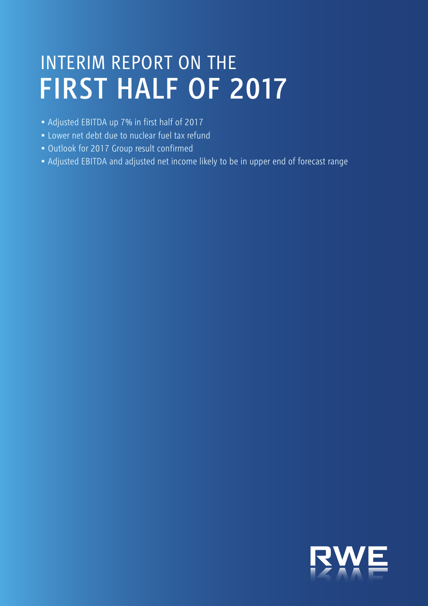# <span id="page-0-0"></span>INTERIM REPORT ON THE FIRST HALF OF 2017

- Adjusted EBITDA up 7% in first half of 2017
- Lower net debt due to nuclear fuel tax refund
- Outlook for 2017 Group result confirmed
- Adjusted EBITDA and adjusted net income likely to be in upper end of forecast range

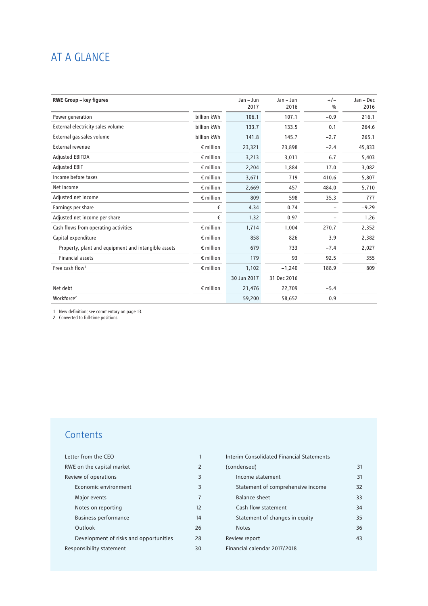## AT A GLANCE

| <b>RWE Group - key figures</b>                      |                    | Jan - Jun   | $Jan - Jun$ | $+/-$         | Jan - Dec |
|-----------------------------------------------------|--------------------|-------------|-------------|---------------|-----------|
|                                                     |                    | 2017        | 2016        | $\frac{0}{0}$ | 2016      |
| Power generation                                    | billion kWh        | 106.1       | 107.1       | $-0.9$        | 216.1     |
| External electricity sales volume                   | billion kWh        | 133.7       | 133.5       | 0.1           | 264.6     |
| External gas sales volume                           | billion kWh        | 141.8       | 145.7       | $-2.7$        | 265.1     |
| External revenue                                    | $\epsilon$ million | 23,321      | 23,898      | $-2.4$        | 45,833    |
| <b>Adjusted EBITDA</b>                              | $\epsilon$ million | 3,213       | 3,011       | 6.7           | 5,403     |
| <b>Adjusted EBIT</b>                                | $\epsilon$ million | 2,204       | 1,884       | 17.0          | 3,082     |
| Income before taxes                                 | $\epsilon$ million | 3,671       | 719         | 410.6         | $-5,807$  |
| Net income                                          | $\epsilon$ million | 2.669       | 457         | 484.0         | $-5,710$  |
| Adjusted net income                                 | $\epsilon$ million | 809         | 598         | 35.3          | 777       |
| Earnings per share                                  | €                  | 4.34        | 0.74        |               | $-9.29$   |
| Adjusted net income per share                       | €                  | 1.32        | 0.97        |               | 1.26      |
| Cash flows from operating activities                | $\epsilon$ million | 1,714       | $-1.004$    | 270.7         | 2,352     |
| Capital expenditure                                 | $\epsilon$ million | 858         | 826         | 3.9           | 2,382     |
| Property, plant and equipment and intangible assets | $\epsilon$ million | 679         | 733         | $-7.4$        | 2,027     |
| <b>Financial assets</b>                             | $\epsilon$ million | 179         | 93          | 92.5          | 355       |
| Free cash flow <sup>1</sup>                         | $\epsilon$ million | 1,102       | $-1,240$    | 188.9         | 809       |
|                                                     |                    | 30 Jun 2017 | 31 Dec 2016 |               |           |
| Net debt                                            | $\epsilon$ million | 21,476      | 22,709      | $-5.4$        |           |
| Workforce <sup>2</sup>                              |                    | 59,200      | 58,652      | 0.9           |           |

1 New definition; see commentary on page 13.

2 Converted to full-time positions.

## **Contents**

| Letter from the CFO                    | 1              |  |
|----------------------------------------|----------------|--|
| RWE on the capital market              | $\overline{2}$ |  |
| Review of operations                   | 3              |  |
| Economic environment                   | 3              |  |
| Major events                           | $\overline{7}$ |  |
| Notes on reporting                     | 12             |  |
| <b>Business performance</b>            | 14             |  |
| Outlook                                | 26             |  |
| Development of risks and opportunities | 28             |  |
| Responsibility statement               | 30             |  |

| Interim Consolidated Financial Statements |    |
|-------------------------------------------|----|
| (condensed)                               | 31 |
| Income statement                          | 31 |
| Statement of comprehensive income         | 32 |
| Balance sheet                             | 33 |
| Cash flow statement                       | 34 |
| Statement of changes in equity            | 35 |
| <b>Notes</b>                              | 36 |
| Review report                             | 43 |
| Financial calendar 2017/2018              |    |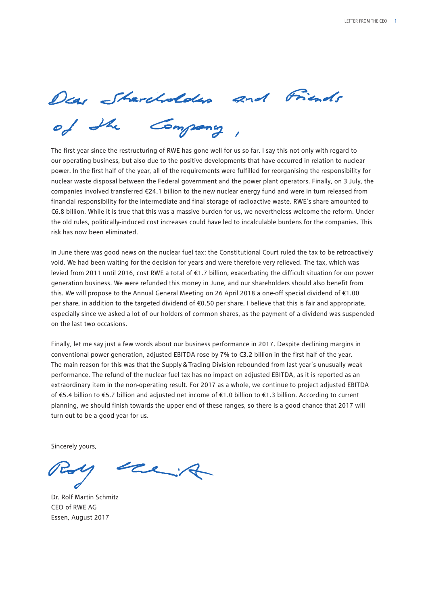<span id="page-2-0"></span>Dear Sharcholders and Friends<br>of the Company,

The first year since the restructuring of RWE has gone well for us so far. I say this not only with regard to our operating business, but also due to the positive developments that have occurred in relation to nuclear power. In the first half of the year, all of the requirements were fulfilled for reorganising the responsibility for nuclear waste disposal between the Federal government and the power plant operators. Finally, on 3 July, the companies involved transferred €24.1 billion to the new nuclear energy fund and were in turn released from financial responsibility for the intermediate and final storage of radioactive waste. RWE's share amounted to €6.8 billion. While it is true that this was a massive burden for us, we nevertheless welcome the reform. Under the old rules, politically-induced cost increases could have led to incalculable burdens for the companies. This risk has now been eliminated.

In June there was good news on the nuclear fuel tax: the Constitutional Court ruled the tax to be retroactively void. We had been waiting for the decision for years and were therefore very relieved. The tax, which was levied from 2011 until 2016, cost RWE a total of €1.7 billion, exacerbating the difficult situation for our power generation business. We were refunded this money in June, and our shareholders should also benefit from this. We will propose to the Annual General Meeting on 26 April 2018 a one-off special dividend of €1.00 per share, in addition to the targeted dividend of €0.50 per share. I believe that this is fair and appropriate, especially since we asked a lot of our holders of common shares, as the payment of a dividend was suspended on the last two occasions.

Finally, let me say just a few words about our business performance in 2017. Despite declining margins in conventional power generation, adjusted EBITDA rose by 7% to €3.2 billion in the first half of the year. The main reason for this was that the Supply & Trading Division rebounded from last year's unusually weak performance. The refund of the nuclear fuel tax has no impact on adjusted EBITDA, as it is reported as an extraordinary item in the non-operating result. For 2017 as a whole, we continue to project adjusted EBITDA of €5.4 billion to €5.7 billion and adjusted net income of €1.0 billion to €1.3 billion. According to current planning, we should finish towards the upper end of these ranges, so there is a good chance that 2017 will turn out to be a good year for us.

Sincerely yours,

 $\leftarrow$ 

Dr. Rolf Martin Schmitz CEO of RWE AG Essen, August 2017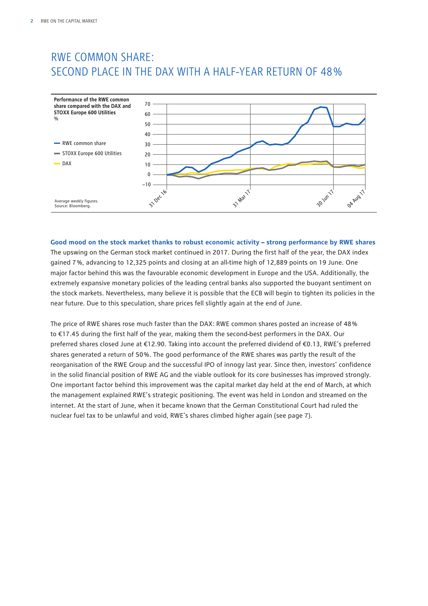## <span id="page-3-0"></span>RWE COMMON SHARE: SECOND PLACE IN THE DAX WITH A HALF-YEAR RETURN OF 48 %



**Good mood on the stock market thanks to robust economic activity – strong performance by RWE shares** The upswing on the German stock market continued in 2017. During the first half of the year, the DAX index gained 7 %, advancing to 12,325 points and closing at an all-time high of 12,889 points on 19 June. One major factor behind this was the favourable economic development in Europe and the USA. Additionally, the extremely expansive monetary policies of the leading central banks also supported the buoyant sentiment on the stock markets. Nevertheless, many believe it is possible that the ECB will begin to tighten its policies in the near future. Due to this speculation, share prices fell slightly again at the end of June.

The price of RWE shares rose much faster than the DAX: RWE common shares posted an increase of 48 % to €17.45 during the first half of the year, making them the second-best performers in the DAX. Our preferred shares closed June at €12.90. Taking into account the preferred dividend of €0.13, RWE's preferred shares generated a return of 50 %. The good performance of the RWE shares was partly the result of the reorganisation of the RWE Group and the successful IPO of innogy last year. Since then, investors' confidence in the solid financial position of RWE AG and the viable outlook for its core businesses has improved strongly. One important factor behind this improvement was the capital market day held at the end of March, at which the management explained RWE's strategic positioning. The event was held in London and streamed on the internet. At the start of June, when it became known that the German Constitutional Court had ruled the nuclear fuel tax to be unlawful and void, RWE's shares climbed higher again (see page 7).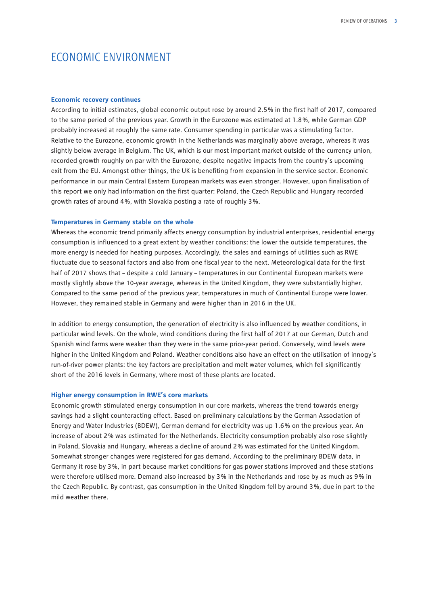## <span id="page-4-0"></span>ECONOMIC ENVIRONMENT

#### **Economic recovery continues**

According to initial estimates, global economic output rose by around 2.5 % in the first half of 2017, compared to the same period of the previous year. Growth in the Eurozone was estimated at 1.8 %, while German GDP probably increased at roughly the same rate. Consumer spending in particular was a stimulating factor. Relative to the Eurozone, economic growth in the Netherlands was marginally above average, whereas it was slightly below average in Belgium. The UK, which is our most important market outside of the currency union, recorded growth roughly on par with the Eurozone, despite negative impacts from the country's upcoming exit from the EU. Amongst other things, the UK is benefiting from expansion in the service sector. Economic performance in our main Central Eastern European markets was even stronger. However, upon finalisation of this report we only had information on the first quarter: Poland, the Czech Republic and Hungary recorded growth rates of around 4 %, with Slovakia posting a rate of roughly 3 %.

#### **Temperatures in Germany stable on the whole**

Whereas the economic trend primarily affects energy consumption by industrial enterprises, residential energy consumption is influenced to a great extent by weather conditions: the lower the outside temperatures, the more energy is needed for heating purposes. Accordingly, the sales and earnings of utilities such as RWE fluctuate due to seasonal factors and also from one fiscal year to the next. Meteorological data for the first half of 2017 shows that – despite a cold January – temperatures in our Continental European markets were mostly slightly above the 10-year average, whereas in the United Kingdom, they were substantially higher. Compared to the same period of the previous year, temperatures in much of Continental Europe were lower. However, they remained stable in Germany and were higher than in 2016 in the UK.

In addition to energy consumption, the generation of electricity is also influenced by weather conditions, in particular wind levels. On the whole, wind conditions during the first half of 2017 at our German, Dutch and Spanish wind farms were weaker than they were in the same prior-year period. Conversely, wind levels were higher in the United Kingdom and Poland. Weather conditions also have an effect on the utilisation of innogy's run-of-river power plants: the key factors are precipitation and melt water volumes, which fell significantly short of the 2016 levels in Germany, where most of these plants are located.

#### **Higher energy consumption in RWE's core markets**

Economic growth stimulated energy consumption in our core markets, whereas the trend towards energy savings had a slight counteracting effect. Based on preliminary calculations by the German Association of Energy and Water Industries (BDEW), German demand for electricity was up 1.6 % on the previous year. An increase of about 2 % was estimated for the Netherlands. Electricity consumption probably also rose slightly in Poland, Slovakia and Hungary, whereas a decline of around 2 % was estimated for the United Kingdom. Somewhat stronger changes were registered for gas demand. According to the preliminary BDEW data, in Germany it rose by 3 %, in part because market conditions for gas power stations improved and these stations were therefore utilised more. Demand also increased by 3 % in the Netherlands and rose by as much as 9 % in the Czech Republic. By contrast, gas consumption in the United Kingdom fell by around 3 %, due in part to the mild weather there.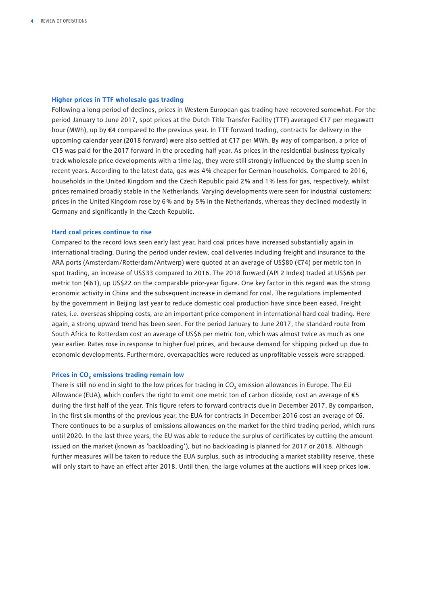#### **Higher prices in TTF wholesale gas trading**

Following a long period of declines, prices in Western European gas trading have recovered somewhat. For the period January to June 2017, spot prices at the Dutch Title Transfer Facility (TTF) averaged €17 per megawatt hour (MWh), up by €4 compared to the previous year. In TTF forward trading, contracts for delivery in the upcoming calendar year (2018 forward) were also settled at €17 per MWh. By way of comparison, a price of €15 was paid for the 2017 forward in the preceding half year. As prices in the residential business typically track wholesale price developments with a time lag, they were still strongly influenced by the slump seen in recent years. According to the latest data, gas was 4 % cheaper for German households. Compared to 2016, households in the United Kingdom and the Czech Republic paid 2 % and 1 % less for gas, respectively, whilst prices remained broadly stable in the Netherlands. Varying developments were seen for industrial customers: prices in the United Kingdom rose by 6 % and by 5 % in the Netherlands, whereas they declined modestly in Germany and significantly in the Czech Republic.

#### **Hard coal prices continue to rise**

Compared to the record lows seen early last year, hard coal prices have increased substantially again in international trading. During the period under review, coal deliveries including freight and insurance to the ARA ports (Amsterdam/Rotterdam/Antwerp) were quoted at an average of US\$80 (€74) per metric ton in spot trading, an increase of US\$33 compared to 2016. The 2018 forward (API 2 Index) traded at US\$66 per metric ton (€61), up US\$22 on the comparable prior-year figure. One key factor in this regard was the strong economic activity in China and the subsequent increase in demand for coal. The regulations implemented by the government in Beijing last year to reduce domestic coal production have since been eased. Freight rates, i.e. overseas shipping costs, are an important price component in international hard coal trading. Here again, a strong upward trend has been seen. For the period January to June 2017, the standard route from South Africa to Rotterdam cost an average of US\$6 per metric ton, which was almost twice as much as one year earlier. Rates rose in response to higher fuel prices, and because demand for shipping picked up due to economic developments. Furthermore, overcapacities were reduced as unprofitable vessels were scrapped.

#### Prices in CO<sub>2</sub> emissions trading remain low

There is still no end in sight to the low prices for trading in CO<sub>2</sub> emission allowances in Europe. The EU Allowance (EUA), which confers the right to emit one metric ton of carbon dioxide, cost an average of  $\epsilon$ 5 during the first half of the year. This figure refers to forward contracts due in December 2017. By comparison, in the first six months of the previous year, the EUA for contracts in December 2016 cost an average of  $\epsilon$ 6. There continues to be a surplus of emissions allowances on the market for the third trading period, which runs until 2020. In the last three years, the EU was able to reduce the surplus of certificates by cutting the amount issued on the market (known as 'backloading'), but no backloading is planned for 2017 or 2018. Although further measures will be taken to reduce the EUA surplus, such as introducing a market stability reserve, these will only start to have an effect after 2018. Until then, the large volumes at the auctions will keep prices low.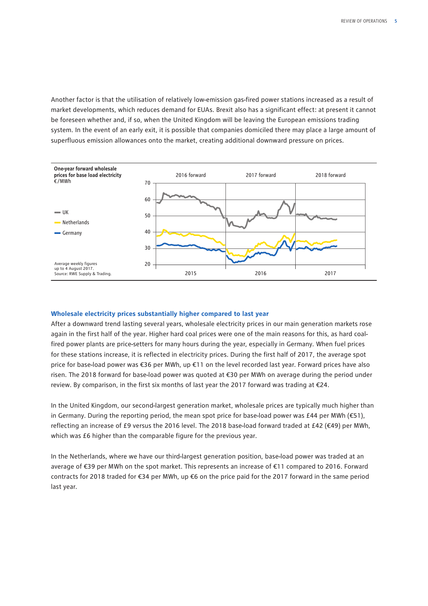Another factor is that the utilisation of relatively low-emission gas-fired power stations increased as a result of market developments, which reduces demand for EUAs. Brexit also has a significant effect: at present it cannot be foreseen whether and, if so, when the United Kingdom will be leaving the European emissions trading system. In the event of an early exit, it is possible that companies domiciled there may place a large amount of superfluous emission allowances onto the market, creating additional downward pressure on prices.



#### **Wholesale electricity prices substantially higher compared to last year**

After a downward trend lasting several years, wholesale electricity prices in our main generation markets rose again in the first half of the year. Higher hard coal prices were one of the main reasons for this, as hard coalfired power plants are price-setters for many hours during the year, especially in Germany. When fuel prices for these stations increase, it is reflected in electricity prices. During the first half of 2017, the average spot price for base-load power was €36 per MWh, up €11 on the level recorded last year. Forward prices have also risen. The 2018 forward for base-load power was quoted at €30 per MWh on average during the period under review. By comparison, in the first six months of last year the 2017 forward was trading at €24.

In the United Kingdom, our second-largest generation market, wholesale prices are typically much higher than in Germany. During the reporting period, the mean spot price for base-load power was £44 per MWh ( $\epsilon$ 51), reflecting an increase of £9 versus the 2016 level. The 2018 base-load forward traded at £42 (€49) per MWh, which was £6 higher than the comparable figure for the previous year.

In the Netherlands, where we have our third-largest generation position, base-load power was traded at an average of €39 per MWh on the spot market. This represents an increase of €11 compared to 2016. Forward contracts for 2018 traded for €34 per MWh, up €6 on the price paid for the 2017 forward in the same period last year.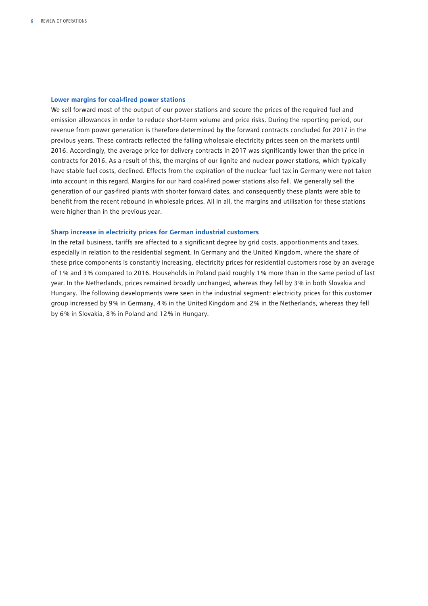#### **Lower margins for coal-fired power stations**

We sell forward most of the output of our power stations and secure the prices of the required fuel and emission allowances in order to reduce short-term volume and price risks. During the reporting period, our revenue from power generation is therefore determined by the forward contracts concluded for 2017 in the previous years. These contracts reflected the falling wholesale electricity prices seen on the markets until 2016. Accordingly, the average price for delivery contracts in 2017 was significantly lower than the price in contracts for 2016. As a result of this, the margins of our lignite and nuclear power stations, which typically have stable fuel costs, declined. Effects from the expiration of the nuclear fuel tax in Germany were not taken into account in this regard. Margins for our hard coal-fired power stations also fell. We generally sell the generation of our gas-fired plants with shorter forward dates, and consequently these plants were able to benefit from the recent rebound in wholesale prices. All in all, the margins and utilisation for these stations were higher than in the previous year.

#### **Sharp increase in electricity prices for German industrial customers**

In the retail business, tariffs are affected to a significant degree by grid costs, apportionments and taxes, especially in relation to the residential segment. In Germany and the United Kingdom, where the share of these price components is constantly increasing, electricity prices for residential customers rose by an average of 1 % and 3 % compared to 2016. Households in Poland paid roughly 1 % more than in the same period of last year. In the Netherlands, prices remained broadly unchanged, whereas they fell by 3 % in both Slovakia and Hungary. The following developments were seen in the industrial segment: electricity prices for this customer group increased by 9 % in Germany, 4 % in the United Kingdom and 2 % in the Netherlands, whereas they fell by 6 % in Slovakia, 8 % in Poland and 12 % in Hungary.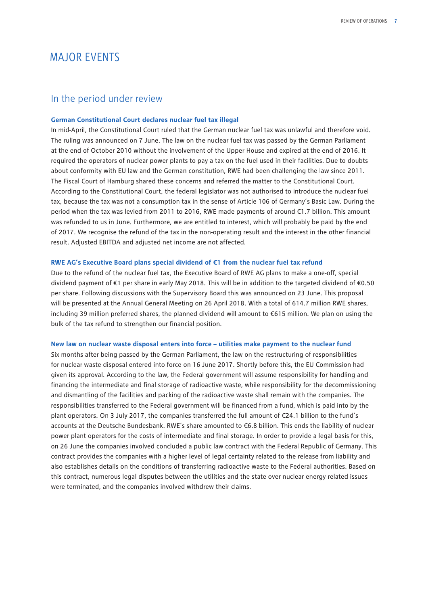## <span id="page-8-0"></span>MAJOR EVENTS

### In the period under review

#### **German Constitutional Court declares nuclear fuel tax illegal**

In mid-April, the Constitutional Court ruled that the German nuclear fuel tax was unlawful and therefore void. The ruling was announced on 7 June. The law on the nuclear fuel tax was passed by the German Parliament at the end of October 2010 without the involvement of the Upper House and expired at the end of 2016. It required the operators of nuclear power plants to pay a tax on the fuel used in their facilities. Due to doubts about conformity with EU law and the German constitution, RWE had been challenging the law since 2011. The Fiscal Court of Hamburg shared these concerns and referred the matter to the Constitutional Court. According to the Constitutional Court, the federal legislator was not authorised to introduce the nuclear fuel tax, because the tax was not a consumption tax in the sense of Article 106 of Germany's Basic Law. During the period when the tax was levied from 2011 to 2016, RWE made payments of around €1.7 billion. This amount was refunded to us in June. Furthermore, we are entitled to interest, which will probably be paid by the end of 2017. We recognise the refund of the tax in the non-operating result and the interest in the other financial result. Adjusted EBITDA and adjusted net income are not affected.

#### **RWE AG's Executive Board plans special dividend of €1 from the nuclear fuel tax refund**

Due to the refund of the nuclear fuel tax, the Executive Board of RWE AG plans to make a one-off, special dividend payment of €1 per share in early May 2018. This will be in addition to the targeted dividend of €0.50 per share. Following discussions with the Supervisory Board this was announced on 23 June. This proposal will be presented at the Annual General Meeting on 26 April 2018. With a total of 614.7 million RWE shares, including 39 million preferred shares, the planned dividend will amount to €615 million. We plan on using the bulk of the tax refund to strengthen our financial position.

#### **New law on nuclear waste disposal enters into force – utilities make payment to the nuclear fund**

Six months after being passed by the German Parliament, the law on the restructuring of responsibilities for nuclear waste disposal entered into force on 16 June 2017. Shortly before this, the EU Commission had given its approval. According to the law, the Federal government will assume responsibility for handling and financing the intermediate and final storage of radioactive waste, while responsibility for the decommissioning and dismantling of the facilities and packing of the radioactive waste shall remain with the companies. The responsibilities transferred to the Federal government will be financed from a fund, which is paid into by the plant operators. On 3 July 2017, the companies transferred the full amount of €24.1 billion to the fund's accounts at the Deutsche Bundesbank. RWE's share amounted to €6.8 billion. This ends the liability of nuclear power plant operators for the costs of intermediate and final storage. In order to provide a legal basis for this, on 26 June the companies involved concluded a public law contract with the Federal Republic of Germany. This contract provides the companies with a higher level of legal certainty related to the release from liability and also establishes details on the conditions of transferring radioactive waste to the Federal authorities. Based on this contract, numerous legal disputes between the utilities and the state over nuclear energy related issues were terminated, and the companies involved withdrew their claims.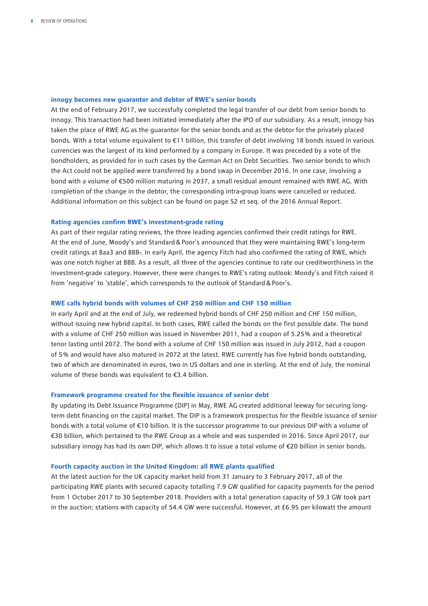#### **innogy becomes new guarantor and debtor of RWE's senior bonds**

At the end of February 2017, we successfully completed the legal transfer of our debt from senior bonds to innogy. This transaction had been initiated immediately after the IPO of our subsidiary. As a result, innogy has taken the place of RWE AG as the guarantor for the senior bonds and as the debtor for the privately placed bonds. With a total volume equivalent to €11 billion, this transfer of debt involving 18 bonds issued in various currencies was the largest of its kind performed by a company in Europe. It was preceded by a vote of the bondholders, as provided for in such cases by the German Act on Debt Securities. Two senior bonds to which the Act could not be applied were transferred by a bond swap in December 2016. In one case, involving a bond with a volume of €500 million maturing in 2037, a small residual amount remained with RWE AG. With completion of the change in the debtor, the corresponding intra-group loans were cancelled or reduced. Additional information on this subject can be found on page 52 et seq. of the 2016 Annual Report.

#### **Rating agencies confirm RWE's investment-grade rating**

As part of their regular rating reviews, the three leading agencies confirmed their credit ratings for RWE. At the end of June, Moody's and Standard&Poor's announced that they were maintaining RWE's long-term credit ratings at Baa3 and BBB-. In early April, the agency Fitch had also confirmed the rating of RWE, which was one notch higher at BBB. As a result, all three of the agencies continue to rate our creditworthiness in the investment-grade category. However, there were changes to RWE's rating outlook: Moody's and Fitch raised it from 'negative' to 'stable', which corresponds to the outlook of Standard&Poor's.

#### **RWE calls hybrid bonds with volumes of CHF 250 million and CHF 150 million**

In early April and at the end of July, we redeemed hybrid bonds of CHF 250 million and CHF 150 million, without issuing new hybrid capital. In both cases, RWE called the bonds on the first possible date. The bond with a volume of CHF 250 million was issued in November 2011, had a coupon of 5.25 % and a theoretical tenor lasting until 2072. The bond with a volume of CHF 150 million was issued in July 2012, had a coupon of 5 % and would have also matured in 2072 at the latest. RWE currently has five hybrid bonds outstanding, two of which are denominated in euros, two in US dollars and one in sterling. At the end of July, the nominal volume of these bonds was equivalent to €3.4 billion.

#### **Framework programme created for the flexible issuance of senior debt**

By updating its Debt Issuance Programme (DIP) in May, RWE AG created additional leeway for securing longterm debt financing on the capital market. The DIP is a framework prospectus for the flexible issuance of senior bonds with a total volume of €10 billion. It is the successor programme to our previous DIP with a volume of €30 billion, which pertained to the RWE Group as a whole and was suspended in 2016. Since April 2017, our subsidiary innogy has had its own DIP, which allows it to issue a total volume of €20 billion in senior bonds.

#### **Fourth capacity auction in the United Kingdom: all RWE plants qualified**

At the latest auction for the UK capacity market held from 31 January to 3 February 2017, all of the participating RWE plants with secured capacity totalling 7.9 GW qualified for capacity payments for the period from 1 October 2017 to 30 September 2018. Providers with a total generation capacity of 59.3 GW took part in the auction; stations with capacity of 54.4 GW were successful. However, at £6.95 per kilowatt the amount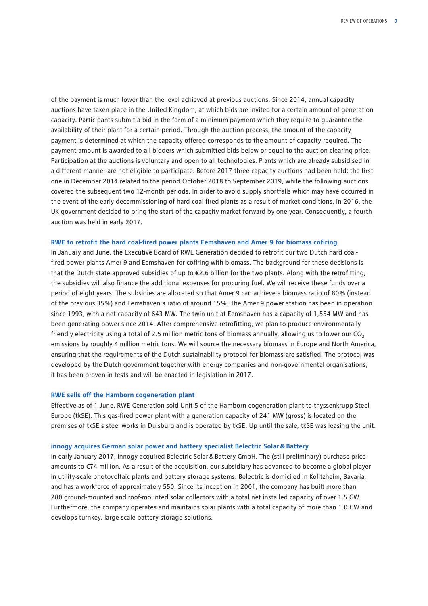of the payment is much lower than the level achieved at previous auctions. Since 2014, annual capacity auctions have taken place in the United Kingdom, at which bids are invited for a certain amount of generation capacity. Participants submit a bid in the form of a minimum payment which they require to guarantee the availability of their plant for a certain period. Through the auction process, the amount of the capacity payment is determined at which the capacity offered corresponds to the amount of capacity required. The payment amount is awarded to all bidders which submitted bids below or equal to the auction clearing price. Participation at the auctions is voluntary and open to all technologies. Plants which are already subsidised in a different manner are not eligible to participate. Before 2017 three capacity auctions had been held: the first one in December 2014 related to the period October 2018 to September 2019, while the following auctions covered the subsequent two 12-month periods. In order to avoid supply shortfalls which may have occurred in the event of the early decommissioning of hard coal-fired plants as a result of market conditions, in 2016, the UK government decided to bring the start of the capacity market forward by one year. Consequently, a fourth auction was held in early 2017.

#### **RWE to retrofit the hard coal-fired power plants Eemshaven and Amer 9 for biomass cofiring**

In January and June, the Executive Board of RWE Generation decided to retrofit our two Dutch hard coalfired power plants Amer 9 and Eemshaven for cofiring with biomass. The background for these decisions is that the Dutch state approved subsidies of up to  $\epsilon$ 2.6 billion for the two plants. Along with the retrofitting, the subsidies will also finance the additional expenses for procuring fuel. We will receive these funds over a period of eight years. The subsidies are allocated so that Amer 9 can achieve a biomass ratio of 80 % (instead of the previous 35 %) and Eemshaven a ratio of around 15 %. The Amer 9 power station has been in operation since 1993, with a net capacity of 643 MW. The twin unit at Eemshaven has a capacity of 1,554 MW and has been generating power since 2014. After comprehensive retrofitting, we plan to produce environmentally friendly electricity using a total of 2.5 million metric tons of biomass annually, allowing us to lower our  $CO<sub>2</sub>$ emissions by roughly 4 million metric tons. We will source the necessary biomass in Europe and North America, ensuring that the requirements of the Dutch sustainability protocol for biomass are satisfied. The protocol was developed by the Dutch government together with energy companies and non-governmental organisations; it has been proven in tests and will be enacted in legislation in 2017.

#### **RWE sells off the Hamborn cogeneration plant**

Effective as of 1 June, RWE Generation sold Unit 5 of the Hamborn cogeneration plant to thyssenkrupp Steel Europe (tkSE). This gas-fired power plant with a generation capacity of 241 MW (gross) is located on the premises of tkSE's steel works in Duisburg and is operated by tkSE. Up until the sale, tkSE was leasing the unit.

#### **innogy acquires German solar power and battery specialist Belectric Solar&Battery**

In early January 2017, innogy acquired Belectric Solar&Battery GmbH. The (still preliminary) purchase price amounts to €74 million. As a result of the acquisition, our subsidiary has advanced to become a global player in utility-scale photovoltaic plants and battery storage systems. Belectric is domiciled in Kolitzheim, Bavaria, and has a workforce of approximately 550. Since its inception in 2001, the company has built more than 280 ground-mounted and roof-mounted solar collectors with a total net installed capacity of over 1.5 GW. Furthermore, the company operates and maintains solar plants with a total capacity of more than 1.0 GW and develops turnkey, large-scale battery storage solutions.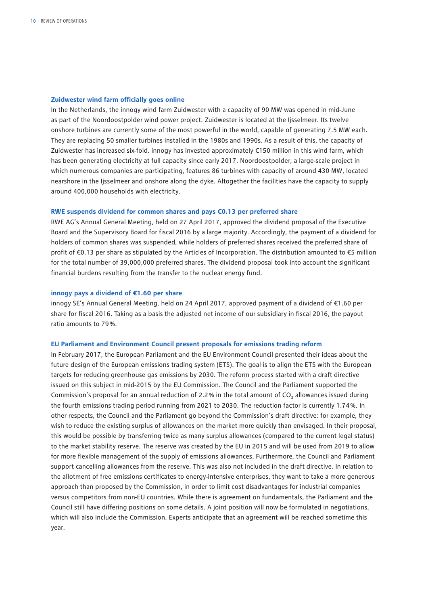#### **Zuidwester wind farm officially goes online**

In the Netherlands, the innogy wind farm Zuidwester with a capacity of 90 MW was opened in mid-June as part of the Noordoostpolder wind power project. Zuidwester is located at the Ijsselmeer. Its twelve onshore turbines are currently some of the most powerful in the world, capable of generating 7.5 MW each. They are replacing 50 smaller turbines installed in the 1980s and 1990s. As a result of this, the capacity of Zuidwester has increased six-fold. innogy has invested approximately €150 million in this wind farm, which has been generating electricity at full capacity since early 2017. Noordoostpolder, a large-scale project in which numerous companies are participating, features 86 turbines with capacity of around 430 MW, located nearshore in the Ijsselmeer and onshore along the dyke. Altogether the facilities have the capacity to supply around 400,000 households with electricity.

#### **RWE suspends dividend for common shares and pays €0.13 per preferred share**

RWE AG's Annual General Meeting, held on 27 April 2017, approved the dividend proposal of the Executive Board and the Supervisory Board for fiscal 2016 by a large majority. Accordingly, the payment of a dividend for holders of common shares was suspended, while holders of preferred shares received the preferred share of profit of €0.13 per share as stipulated by the Articles of Incorporation. The distribution amounted to €5 million for the total number of 39,000,000 preferred shares. The dividend proposal took into account the significant financial burdens resulting from the transfer to the nuclear energy fund.

#### **innogy pays a dividend of €1.60 per share**

innogy SE's Annual General Meeting, held on 24 April 2017, approved payment of a dividend of €1.60 per share for fiscal 2016. Taking as a basis the adjusted net income of our subsidiary in fiscal 2016, the payout ratio amounts to 79 %.

#### **EU Parliament and Environment Council present proposals for emissions trading reform**

In February 2017, the European Parliament and the EU Environment Council presented their ideas about the future design of the European emissions trading system (ETS). The goal is to align the ETS with the European targets for reducing greenhouse gas emissions by 2030. The reform process started with a draft directive issued on this subject in mid-2015 by the EU Commission. The Council and the Parliament supported the Commission's proposal for an annual reduction of 2.2% in the total amount of CO<sub>2</sub> allowances issued during the fourth emissions trading period running from 2021 to 2030. The reduction factor is currently 1.74 %. In other respects, the Council and the Parliament go beyond the Commission's draft directive: for example, they wish to reduce the existing surplus of allowances on the market more quickly than envisaged. In their proposal, this would be possible by transferring twice as many surplus allowances (compared to the current legal status) to the market stability reserve. The reserve was created by the EU in 2015 and will be used from 2019 to allow for more flexible management of the supply of emissions allowances. Furthermore, the Council and Parliament support cancelling allowances from the reserve. This was also not included in the draft directive. In relation to the allotment of free emissions certificates to energy-intensive enterprises, they want to take a more generous approach than proposed by the Commission, in order to limit cost disadvantages for industrial companies versus competitors from non-EU countries. While there is agreement on fundamentals, the Parliament and the Council still have differing positions on some details. A joint position will now be formulated in negotiations, which will also include the Commission. Experts anticipate that an agreement will be reached sometime this year.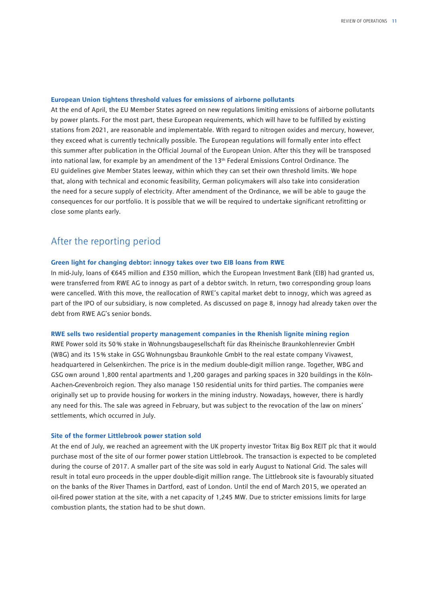#### **European Union tightens threshold values for emissions of airborne pollutants**

At the end of April, the EU Member States agreed on new regulations limiting emissions of airborne pollutants by power plants. For the most part, these European requirements, which will have to be fulfilled by existing stations from 2021, are reasonable and implementable. With regard to nitrogen oxides and mercury, however, they exceed what is currently technically possible. The European regulations will formally enter into effect this summer after publication in the Official Journal of the European Union. After this they will be transposed into national law, for example by an amendment of the 13<sup>th</sup> Federal Emissions Control Ordinance. The EU guidelines give Member States leeway, within which they can set their own threshold limits. We hope that, along with technical and economic feasibility, German policymakers will also take into consideration the need for a secure supply of electricity. After amendment of the Ordinance, we will be able to gauge the consequences for our portfolio. It is possible that we will be required to undertake significant retrofitting or close some plants early.

## After the reporting period

#### **Green light for changing debtor: innogy takes over two EIB loans from RWE**

In mid-July, loans of €645 million and £350 million, which the European Investment Bank (EIB) had granted us, were transferred from RWE AG to innogy as part of a debtor switch. In return, two corresponding group loans were cancelled. With this move, the reallocation of RWE's capital market debt to innogy, which was agreed as part of the IPO of our subsidiary, is now completed. As discussed on page 8, innogy had already taken over the debt from RWE AG's senior bonds.

#### **RWE sells two residential property management companies in the Rhenish lignite mining region**

RWE Power sold its 50 % stake in Wohnungsbaugesellschaft für das Rheinische Braunkohlenrevier GmbH (WBG) and its 15 % stake in GSG Wohnungsbau Braunkohle GmbH to the real estate company Vivawest, headquartered in Gelsenkirchen. The price is in the medium double-digit million range. Together, WBG and GSG own around 1,800 rental apartments and 1,200 garages and parking spaces in 320 buildings in the Köln-Aachen-Grevenbroich region. They also manage 150 residential units for third parties. The companies were originally set up to provide housing for workers in the mining industry. Nowadays, however, there is hardly any need for this. The sale was agreed in February, but was subject to the revocation of the law on miners' settlements, which occurred in July.

#### **Site of the former Littlebrook power station sold**

At the end of July, we reached an agreement with the UK property investor Tritax Big Box REIT plc that it would purchase most of the site of our former power station Littlebrook. The transaction is expected to be completed during the course of 2017. A smaller part of the site was sold in early August to National Grid. The sales will result in total euro proceeds in the upper double-digit million range. The Littlebrook site is favourably situated on the banks of the River Thames in Dartford, east of London. Until the end of March 2015, we operated an oil-fired power station at the site, with a net capacity of 1,245 MW. Due to stricter emissions limits for large combustion plants, the station had to be shut down.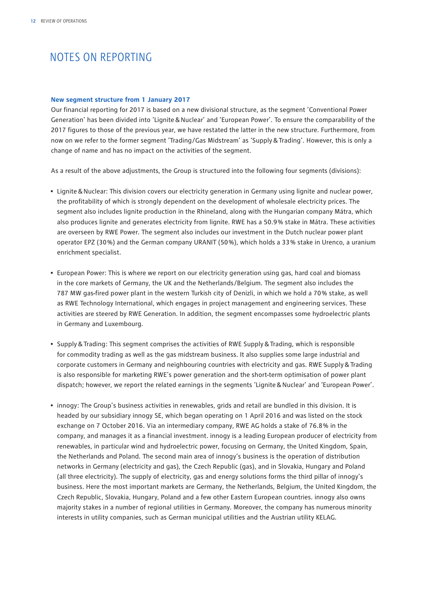## <span id="page-13-0"></span>NOTES ON REPORTING

#### **New segment structure from 1 January 2017**

Our financial reporting for 2017 is based on a new divisional structure, as the segment 'Conventional Power Generation' has been divided into 'Lignite&Nuclear' and 'European Power'. To ensure the comparability of the 2017 figures to those of the previous year, we have restated the latter in the new structure. Furthermore, from now on we refer to the former segment 'Trading/Gas Midstream' as 'Supply&Trading'. However, this is only a change of name and has no impact on the activities of the segment.

As a result of the above adjustments, the Group is structured into the following four segments (divisions):

- Lignite&Nuclear: This division covers our electricity generation in Germany using lignite and nuclear power, the profitability of which is strongly dependent on the development of wholesale electricity prices. The segment also includes lignite production in the Rhineland, along with the Hungarian company Mátra, which also produces lignite and generates electricity from lignite. RWE has a 50.9 % stake in Mátra. These activities are overseen by RWE Power. The segment also includes our investment in the Dutch nuclear power plant operator EPZ (30 %) and the German company URANIT (50 %), which holds a 33 % stake in Urenco, a uranium enrichment specialist.
- European Power: This is where we report on our electricity generation using gas, hard coal and biomass in the core markets of Germany, the UK and the Netherlands/Belgium. The segment also includes the 787 MW gas-fired power plant in the western Turkish city of Denizli, in which we hold a 70 % stake, as well as RWE Technology International, which engages in project management and engineering services. These activities are steered by RWE Generation. In addition, the segment encompasses some hydroelectric plants in Germany and Luxembourg.
- Supply&Trading: This segment comprises the activities of RWE Supply&Trading, which is responsible for commodity trading as well as the gas midstream business. It also supplies some large industrial and corporate customers in Germany and neighbouring countries with electricity and gas. RWE Supply&Trading is also responsible for marketing RWE's power generation and the short-term optimisation of power plant dispatch; however, we report the related earnings in the segments 'Lignite&Nuclear' and 'European Power'.
- innogy: The Group's business activities in renewables, grids and retail are bundled in this division. It is headed by our subsidiary innogy SE, which began operating on 1 April 2016 and was listed on the stock exchange on 7 October 2016. Via an intermediary company, RWE AG holds a stake of 76.8 % in the company, and manages it as a financial investment. innogy is a leading European producer of electricity from renewables, in particular wind and hydroelectric power, focusing on Germany, the United Kingdom, Spain, the Netherlands and Poland. The second main area of innogy's business is the operation of distribution networks in Germany (electricity and gas), the Czech Republic (gas), and in Slovakia, Hungary and Poland (all three electricity). The supply of electricity, gas and energy solutions forms the third pillar of innogy's business. Here the most important markets are Germany, the Netherlands, Belgium, the United Kingdom, the Czech Republic, Slovakia, Hungary, Poland and a few other Eastern European countries. innogy also owns majority stakes in a number of regional utilities in Germany. Moreover, the company has numerous minority interests in utility companies, such as German municipal utilities and the Austrian utility KELAG.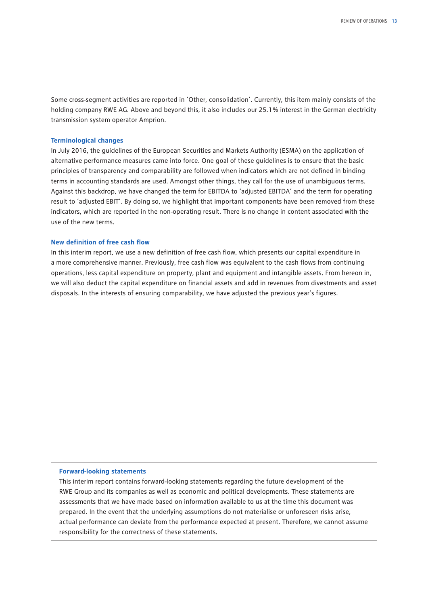Some cross-segment activities are reported in 'Other, consolidation'. Currently, this item mainly consists of the holding company RWE AG. Above and beyond this, it also includes our 25.1 % interest in the German electricity transmission system operator Amprion.

#### **Terminological changes**

In July 2016, the guidelines of the European Securities and Markets Authority (ESMA) on the application of alternative performance measures came into force. One goal of these guidelines is to ensure that the basic principles of transparency and comparability are followed when indicators which are not defined in binding terms in accounting standards are used. Amongst other things, they call for the use of unambiguous terms. Against this backdrop, we have changed the term for EBITDA to 'adjusted EBITDA' and the term for operating result to 'adjusted EBIT'. By doing so, we highlight that important components have been removed from these indicators, which are reported in the non-operating result. There is no change in content associated with the use of the new terms.

#### **New definition of free cash flow**

In this interim report, we use a new definition of free cash flow, which presents our capital expenditure in a more comprehensive manner. Previously, free cash flow was equivalent to the cash flows from continuing operations, less capital expenditure on property, plant and equipment and intangible assets. From hereon in, we will also deduct the capital expenditure on financial assets and add in revenues from divestments and asset disposals. In the interests of ensuring comparability, we have adjusted the previous year's figures.

#### **Forward-looking statements**

This interim report contains forward-looking statements regarding the future development of the RWE Group and its companies as well as economic and political developments. These statements are assessments that we have made based on information available to us at the time this document was prepared. In the event that the underlying assumptions do not materialise or unforeseen risks arise, actual performance can deviate from the performance expected at present. Therefore, we cannot assume responsibility for the correctness of these statements.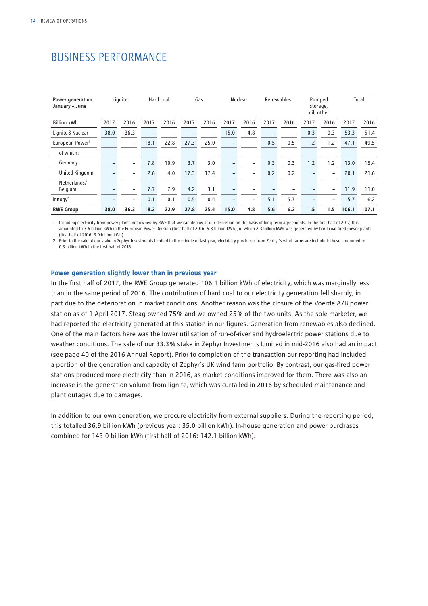## <span id="page-15-0"></span>BUSINESS PERFORMANCE

| Power generation<br>January - June |                          | Lignite                  |                          | Hard coal |      | Gas            |      | Nuclear                  | Renewables |                          |                          | Pumped<br>storage,<br>oil, other |       | Total |
|------------------------------------|--------------------------|--------------------------|--------------------------|-----------|------|----------------|------|--------------------------|------------|--------------------------|--------------------------|----------------------------------|-------|-------|
| <b>Billion kWh</b>                 | 2017                     | 2016                     | 2017                     | 2016      | 2017 | 2016           | 2017 | 2016                     | 2017       | 2016                     | 2017                     | 2016                             | 2017  | 2016  |
| Lignite & Nuclear                  | 38.0                     | 36.3                     | $\overline{\phantom{0}}$ |           |      | $\overline{a}$ | 15.0 | 14.8                     |            | $\overline{\phantom{0}}$ | 0.3                      | 0.3                              | 53.3  | 51.4  |
| European Power <sup>1</sup>        | $\overline{\phantom{0}}$ | $\overline{\phantom{0}}$ | 18.1                     | 22.8      | 27.3 | 25.0           |      | $\overline{\phantom{m}}$ | 0.5        | 0.5                      | 1.2                      | 1.2                              | 47.1  | 49.5  |
| of which:                          |                          |                          |                          |           |      |                |      |                          |            |                          |                          |                                  |       |       |
| Germany                            | $\overline{\phantom{0}}$ | $\overline{\phantom{0}}$ | 7.8                      | 10.9      | 3.7  | 3.0            |      | $\overline{\phantom{a}}$ | 0.3        | 0.3                      | 1.2                      | 1.2                              | 13.0  | 15.4  |
| United Kingdom                     | -                        | -                        | 2.6                      | 4.0       | 17.3 | 17.4           |      | $\overline{\phantom{a}}$ | 0.2        | 0.2                      | $\overline{\phantom{0}}$ | $\overline{\phantom{0}}$         | 20.1  | 21.6  |
| Netherlands/<br>Belgium            |                          | -                        | 7.7                      | 7.9       | 4.2  | 3.1            |      |                          |            |                          |                          | $\overline{\phantom{0}}$         | 11.9  | 11.0  |
| $in n$ ogy <sup>2</sup>            | -                        | -                        | 0.1                      | 0.1       | 0.5  | 0.4            |      | $\overline{\phantom{a}}$ | 5.1        | 5.7                      | $\qquad \qquad$          | $\qquad \qquad$                  | 5.7   | 6.2   |
| <b>RWE Group</b>                   | 38.0                     | 36.3                     | 18.2                     | 22.9      | 27.8 | 25.4           | 15.0 | 14.8                     | 5.6        | 6.2                      | 1.5                      | 1.5                              | 106.1 | 107.1 |

1 Including electricity from power plants not owned by RWE that we can deploy at our discretion on the basis of long-term agreements. In the first half of 2017, this amounted to 3.6 billion kWh in the European Power Division (first half of 2016: 5.3 billion kWh), of which 2.3 billion kWh was generated by hard coal-fired power plants (first half of 2016: 3.9 billion kWh).

2 Prior to the sale of our stake in Zephyr Investments Limited in the middle of last year, electricity purchases from Zephyr's wind farms are included: these amounted to 0.3 billion kWh in the first half of 2016.

#### **Power generation slightly lower than in previous year**

In the first half of 2017, the RWE Group generated 106.1 billion kWh of electricity, which was marginally less than in the same period of 2016. The contribution of hard coal to our electricity generation fell sharply, in part due to the deterioration in market conditions. Another reason was the closure of the Voerde A/B power station as of 1 April 2017. Steag owned 75 % and we owned 25 % of the two units. As the sole marketer, we had reported the electricity generated at this station in our figures. Generation from renewables also declined. One of the main factors here was the lower utilisation of run-of-river and hydroelectric power stations due to weather conditions. The sale of our 33.3 % stake in Zephyr Investments Limited in mid-2016 also had an impact (see page 40 of the 2016 Annual Report). Prior to completion of the transaction our reporting had included a portion of the generation and capacity of Zephyr's UK wind farm portfolio. By contrast, our gas-fired power stations produced more electricity than in 2016, as market conditions improved for them. There was also an increase in the generation volume from lignite, which was curtailed in 2016 by scheduled maintenance and plant outages due to damages.

In addition to our own generation, we procure electricity from external suppliers. During the reporting period, this totalled 36.9 billion kWh (previous year: 35.0 billion kWh). In-house generation and power purchases combined for 143.0 billion kWh (first half of 2016: 142.1 billion kWh).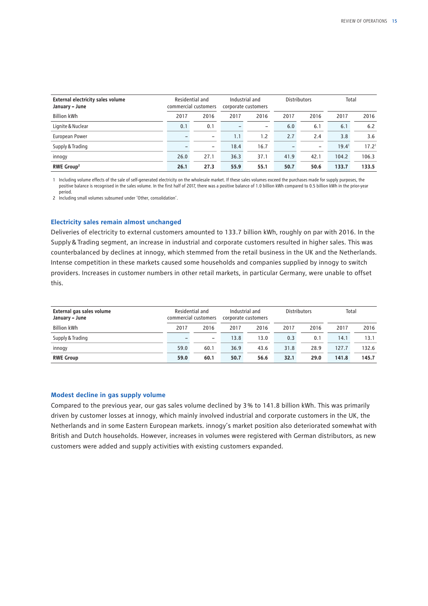| <b>External electricity sales volume</b><br>January - June |      | Residential and<br>commercial customers |      | Industrial and<br>corporate customers |      |                          |                   | <b>Distributors</b> |  | Total |  |
|------------------------------------------------------------|------|-----------------------------------------|------|---------------------------------------|------|--------------------------|-------------------|---------------------|--|-------|--|
| <b>Billion kWh</b>                                         | 2017 | 2016                                    | 2017 | 2016                                  | 2017 | 2016                     | 2017              | 2016                |  |       |  |
| Lignite & Nuclear                                          | 0.1  | 0.1                                     |      | $\overline{\phantom{0}}$              | 6.0  | 6.1                      | 6.1               | 6.2                 |  |       |  |
| European Power                                             |      | $\overline{\phantom{a}}$                | 1.1  | 1.2                                   | 2.7  | 2.4                      | 3.8               | 3.6                 |  |       |  |
| Supply & Trading                                           |      | -                                       | 18.4 | 16.7                                  |      | $\overline{\phantom{0}}$ | 19.4 <sup>1</sup> | 17.2 <sup>1</sup>   |  |       |  |
| innogy                                                     | 26.0 | 27.1                                    | 36.3 | 37.1                                  | 41.9 | 42.1                     | 104.2             | 106.3               |  |       |  |
| RWE Group <sup>2</sup>                                     | 26.1 | 27.3                                    | 55.9 | 55.1                                  | 50.7 | 50.6                     | 133.7             | 133.5               |  |       |  |

1 Including volume effects of the sale of self-generated electricity on the wholesale market. If these sales volumes exceed the purchases made for supply purposes, the positive balance is recognised in the sales volume. In the first half of 2017, there was a positive balance of 1.0 billion kWh compared to 0.5 billion kWh in the prior-year period.

2 Including small volumes subsumed under 'Other, consolidation'.

#### **Electricity sales remain almost unchanged**

Deliveries of electricity to external customers amounted to 133.7 billion kWh, roughly on par with 2016. In the Supply&Trading segment, an increase in industrial and corporate customers resulted in higher sales. This was counterbalanced by declines at innogy, which stemmed from the retail business in the UK and the Netherlands. Intense competition in these markets caused some households and companies supplied by innogy to switch providers. Increases in customer numbers in other retail markets, in particular Germany, were unable to offset this.

| External gas sales volume<br>January - June | Residential and<br>commercial customers |                          | Industrial and<br>corporate customers |      | <b>Distributors</b> |      | Total |       |
|---------------------------------------------|-----------------------------------------|--------------------------|---------------------------------------|------|---------------------|------|-------|-------|
| <b>Billion kWh</b>                          | 2017                                    | 2016                     | 2017                                  | 2016 | 2017                | 2016 | 2017  | 2016  |
| Supply & Trading                            |                                         | $\overline{\phantom{0}}$ | 13.8                                  | 13.0 | 0.3                 | 0.1  | 14.1  | 13.1  |
| innogy                                      | 59.0                                    | 60.1                     | 36.9                                  | 43.6 | 31.8                | 28.9 | 127.7 | 132.6 |
| <b>RWE Group</b>                            | 59.0                                    | 60.1                     | 50.7                                  | 56.6 | 32.1                | 29.0 | 141.8 | 145.7 |

#### **Modest decline in gas supply volume**

Compared to the previous year, our gas sales volume declined by 3 % to 141.8 billion kWh. This was primarily driven by customer losses at innogy, which mainly involved industrial and corporate customers in the UK, the Netherlands and in some Eastern European markets. innogy's market position also deteriorated somewhat with British and Dutch households. However, increases in volumes were registered with German distributors, as new customers were added and supply activities with existing customers expanded.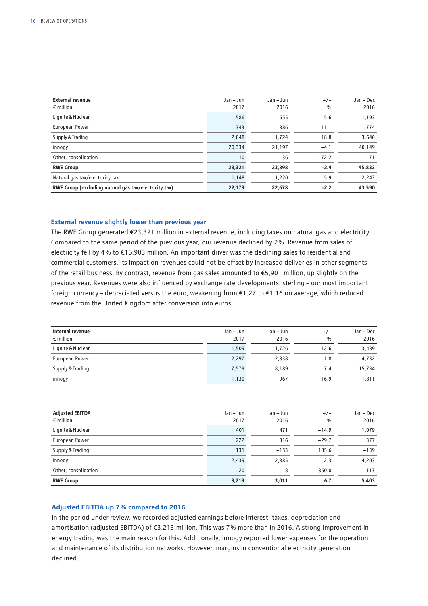| <b>External revenue</b><br>$\epsilon$ million         | Jan - Jun<br>2017 | $Jan - Jun$<br>2016 | $+/-$<br>$\frac{0}{0}$ | Jan - Dec<br>2016 |
|-------------------------------------------------------|-------------------|---------------------|------------------------|-------------------|
| Lignite & Nuclear                                     | 586               | 555                 | 5.6                    | 1,193             |
| <b>European Power</b>                                 | 343               | 386                 | $-11.1$                | 774               |
| Supply & Trading                                      | 2,048             | 1,724               | 18.8                   | 3,646             |
| innogy                                                | 20,334            | 21,197              | $-4.1$                 | 40,149            |
| Other, consolidation                                  | 10                | 36                  | $-72.2$                | 71                |
| <b>RWE Group</b>                                      | 23,321            | 23,898              | $-2.4$                 | 45,833            |
| Natural gas tax/electricity tax                       | 1,148             | 1,220               | $-5.9$                 | 2,243             |
| RWE Group (excluding natural gas tax/electricity tax) | 22,173            | 22,678              | $-2.2$                 | 43,590            |

#### **External revenue slightly lower than previous year**

The RWE Group generated €23,321 million in external revenue, including taxes on natural gas and electricity. Compared to the same period of the previous year, our revenue declined by 2 %. Revenue from sales of electricity fell by 4 % to €15,903 million. An important driver was the declining sales to residential and commercial customers. Its impact on revenues could not be offset by increased deliveries in other segments of the retail business. By contrast, revenue from gas sales amounted to €5,901 million, up slightly on the previous year. Revenues were also influenced by exchange rate developments: sterling – our most important foreign currency – depreciated versus the euro, weakening from €1.27 to €1.16 on average, which reduced revenue from the United Kingdom after conversion into euros.

| Internal revenue<br>$\epsilon$ million | Jan – Jun<br>2017 | Jan – Jun<br>2016 | $+/-$<br>$\%$ | Jan - Dec<br>2016 |
|----------------------------------------|-------------------|-------------------|---------------|-------------------|
| Lignite & Nuclear                      | 1,509             | 1.726             | $-12.6$       | 3,489             |
| European Power                         | 2,297             | 2,338             | $-1.8$        | 4,732             |
| Supply & Trading                       | 7.579             | 8.189             | $-7.4$        | 15,734            |
| innogy                                 | 1,130             | 967               | 16.9          | 1,811             |

| <b>Adjusted EBITDA</b><br>$\epsilon$ million | Jan – Jun<br>2017 | Jan – Jun<br>2016 | $+/-$<br>$\frac{0}{0}$ | Jan – Dec<br>2016 |
|----------------------------------------------|-------------------|-------------------|------------------------|-------------------|
| Lignite & Nuclear                            | 401               | 471               | $-14.9$                | 1,079             |
| European Power                               | 222               | 316               | $-29.7$                | 377               |
| Supply & Trading                             | 131               | $-153$            | 185.6                  | $-139$            |
| innogy                                       | 2,439             | 2,385             | 2.3                    | 4,203             |
| Other, consolidation                         | 20                | -8                | 350.0                  | $-117$            |
| <b>RWE Group</b>                             | 3,213             | 3,011             | 6.7                    | 5,403             |

#### **Adjusted EBITDA up 7 % compared to 2016**

In the period under review, we recorded adjusted earnings before interest, taxes, depreciation and amortisation (adjusted EBITDA) of €3,213 million. This was 7 % more than in 2016. A strong improvement in energy trading was the main reason for this. Additionally, innogy reported lower expenses for the operation and maintenance of its distribution networks. However, margins in conventional electricity generation declined.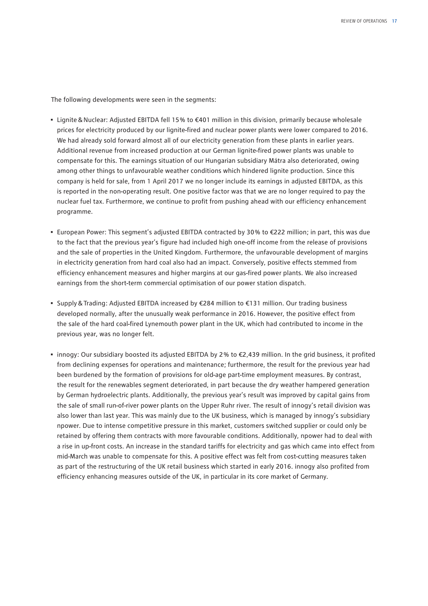The following developments were seen in the segments:

- Lignite&Nuclear: Adjusted EBITDA fell 15 % to €401 million in this division, primarily because wholesale prices for electricity produced by our lignite-fired and nuclear power plants were lower compared to 2016. We had already sold forward almost all of our electricity generation from these plants in earlier years. Additional revenue from increased production at our German lignite-fired power plants was unable to compensate for this. The earnings situation of our Hungarian subsidiary Mátra also deteriorated, owing among other things to unfavourable weather conditions which hindered lignite production. Since this company is held for sale, from 1 April 2017 we no longer include its earnings in adjusted EBITDA, as this is reported in the non-operating result. One positive factor was that we are no longer required to pay the nuclear fuel tax. Furthermore, we continue to profit from pushing ahead with our efficiency enhancement programme.
- European Power: This segment's adjusted EBITDA contracted by 30 % to €222 million; in part, this was due to the fact that the previous year's figure had included high one-off income from the release of provisions and the sale of properties in the United Kingdom. Furthermore, the unfavourable development of margins in electricity generation from hard coal also had an impact. Conversely, positive effects stemmed from efficiency enhancement measures and higher margins at our gas-fired power plants. We also increased earnings from the short-term commercial optimisation of our power station dispatch.
- Supply&Trading: Adjusted EBITDA increased by €284 million to €131 million. Our trading business developed normally, after the unusually weak performance in 2016. However, the positive effect from the sale of the hard coal-fired Lynemouth power plant in the UK, which had contributed to income in the previous year, was no longer felt.
- innogy: Our subsidiary boosted its adjusted EBITDA by 2 % to €2,439 million. In the grid business, it profited from declining expenses for operations and maintenance; furthermore, the result for the previous year had been burdened by the formation of provisions for old-age part-time employment measures. By contrast, the result for the renewables segment deteriorated, in part because the dry weather hampered generation by German hydroelectric plants. Additionally, the previous year's result was improved by capital gains from the sale of small run-of-river power plants on the Upper Ruhr river. The result of innogy's retail division was also lower than last year. This was mainly due to the UK business, which is managed by innogy's subsidiary npower. Due to intense competitive pressure in this market, customers switched supplier or could only be retained by offering them contracts with more favourable conditions. Additionally, npower had to deal with a rise in up-front costs. An increase in the standard tariffs for electricity and gas which came into effect from mid-March was unable to compensate for this. A positive effect was felt from cost-cutting measures taken as part of the restructuring of the UK retail business which started in early 2016. innogy also profited from efficiency enhancing measures outside of the UK, in particular in its core market of Germany.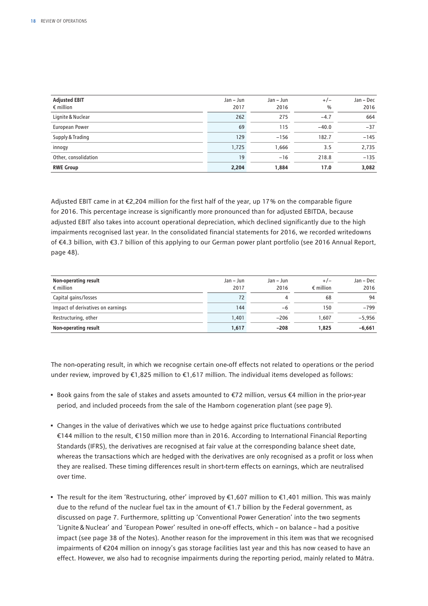| <b>Adjusted EBIT</b><br>$\epsilon$ million | Jan – Jun<br>2017 | Jan – Jun<br>2016 | $+/-$<br>$\frac{0}{0}$ | Jan - Dec<br>2016 |
|--------------------------------------------|-------------------|-------------------|------------------------|-------------------|
| Lignite & Nuclear                          | 262               | 275               | $-4.7$                 | 664               |
| European Power                             | 69                | 115               | $-40.0$                | $-37$             |
| Supply & Trading                           | 129               | $-156$            | 182.7                  | $-145$            |
| innogy                                     | 1,725             | 1,666             | 3.5                    | 2,735             |
| Other, consolidation                       | 19                | $-16$             | 218.8                  | $-135$            |
| <b>RWE Group</b>                           | 2,204             | 1,884             | 17.0                   | 3,082             |

Adjusted EBIT came in at €2,204 million for the first half of the year, up 17 % on the comparable figure for 2016. This percentage increase is significantly more pronounced than for adjusted EBITDA, because adjusted EBIT also takes into account operational depreciation, which declined significantly due to the high impairments recognised last year. In the consolidated financial statements for 2016, we recorded writedowns of €4.3 billion, with €3.7 billion of this applying to our German power plant portfolio (see 2016 Annual Report, page 48).

| Non-operating result<br>$\epsilon$ million | Jan – Jun<br>2017 | Jan – Jun<br>2016 | $+/-$<br>$\epsilon$ million | Jan - Dec<br>2016 |
|--------------------------------------------|-------------------|-------------------|-----------------------------|-------------------|
| Capital gains/losses                       |                   | 4                 | 68                          | 94                |
| Impact of derivatives on earnings          | 144               | -6                | 150                         | $-799$            |
| Restructuring, other                       | 1.401             | $-206$            | 607. ا                      | $-5.956$          |
| Non-operating result                       | 1,617             | $-208$            | 1.825                       | $-6,661$          |

The non-operating result, in which we recognise certain one-off effects not related to operations or the period under review, improved by €1,825 million to €1,617 million. The individual items developed as follows:

- Book gains from the sale of stakes and assets amounted to €72 million, versus €4 million in the prior-year period, and included proceeds from the sale of the Hamborn cogeneration plant (see page 9).
- Changes in the value of derivatives which we use to hedge against price fluctuations contributed €144 million to the result, €150 million more than in 2016. According to International Financial Reporting Standards (IFRS), the derivatives are recognised at fair value at the corresponding balance sheet date, whereas the transactions which are hedged with the derivatives are only recognised as a profit or loss when they are realised. These timing differences result in short-term effects on earnings, which are neutralised over time.
- The result for the item 'Restructuring, other' improved by €1,607 million to €1,401 million. This was mainly due to the refund of the nuclear fuel tax in the amount of €1.7 billion by the Federal government, as discussed on page 7. Furthermore, splitting up 'Conventional Power Generation' into the two segments 'Lignite&Nuclear' and 'European Power' resulted in one-off effects, which – on balance – had a positive impact (see page 38 of the Notes). Another reason for the improvement in this item was that we recognised impairments of €204 million on innogy's gas storage facilities last year and this has now ceased to have an effect. However, we also had to recognise impairments during the reporting period, mainly related to Mátra.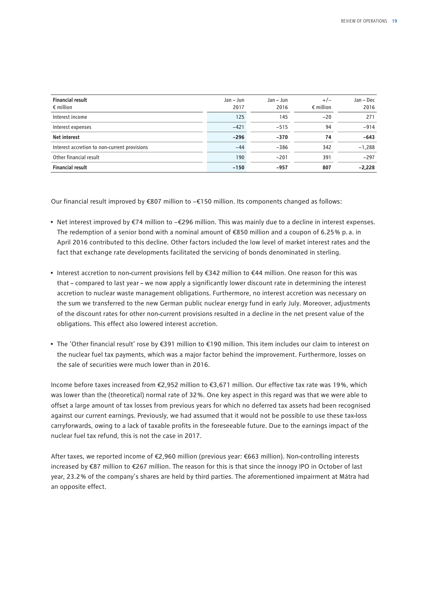| <b>Financial result</b><br>$\epsilon$ million | Jan – Jun<br>2017 | Jan - Jun<br>2016 | $+/-$<br>$\epsilon$ million | Jan - Dec<br>2016 |
|-----------------------------------------------|-------------------|-------------------|-----------------------------|-------------------|
| Interest income                               | 125               | 145               | $-20$                       | 271               |
| Interest expenses                             | $-421$            | $-515$            | 94                          | $-914$            |
| <b>Net interest</b>                           | $-296$            | $-370$            | 74                          | $-643$            |
| Interest accretion to non-current provisions  | $-44$             | $-386$            | 342                         | $-1,288$          |
| Other financial result                        | 190               | $-201$            | 391                         | $-297$            |
| <b>Financial result</b>                       | $-150$            | $-957$            | 807                         | $-2,228$          |

Our financial result improved by €807 million to −€150 million. Its components changed as follows:

- Net interest improved by €74 million to −€296 million. This was mainly due to a decline in interest expenses. The redemption of a senior bond with a nominal amount of  $\epsilon$ 850 million and a coupon of 6.25% p.a. in April 2016 contributed to this decline. Other factors included the low level of market interest rates and the fact that exchange rate developments facilitated the servicing of bonds denominated in sterling.
- Interest accretion to non-current provisions fell by €342 million to €44 million. One reason for this was that – compared to last year – we now apply a significantly lower discount rate in determining the interest accretion to nuclear waste management obligations. Furthermore, no interest accretion was necessary on the sum we transferred to the new German public nuclear energy fund in early July. Moreover, adjustments of the discount rates for other non-current provisions resulted in a decline in the net present value of the obligations. This effect also lowered interest accretion.
- The 'Other financial result' rose by €391 million to €190 million. This item includes our claim to interest on the nuclear fuel tax payments, which was a major factor behind the improvement. Furthermore, losses on the sale of securities were much lower than in 2016.

Income before taxes increased from €2,952 million to €3,671 million. Our effective tax rate was 19 %, which was lower than the (theoretical) normal rate of 32 %. One key aspect in this regard was that we were able to offset a large amount of tax losses from previous years for which no deferred tax assets had been recognised against our current earnings. Previously, we had assumed that it would not be possible to use these tax-loss carryforwards, owing to a lack of taxable profits in the foreseeable future. Due to the earnings impact of the nuclear fuel tax refund, this is not the case in 2017.

After taxes, we reported income of €2,960 million (previous year: €663 million). Non-controlling interests increased by €87 million to €267 million. The reason for this is that since the innogy IPO in October of last year, 23.2 % of the company's shares are held by third parties. The aforementioned impairment at Mátra had an opposite effect.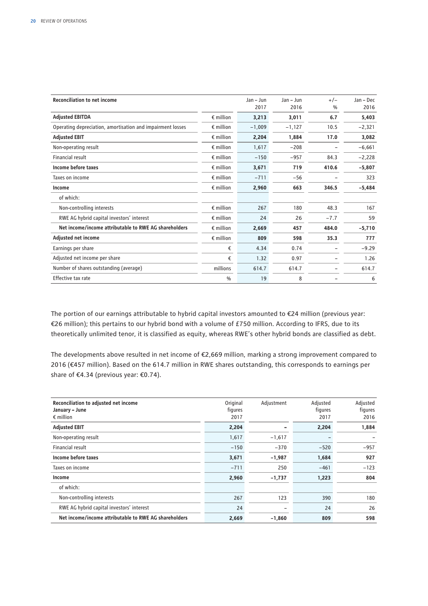| <b>Reconciliation to net income</b>                        |                    | Jan - Jun<br>2017 | Jan - Jun<br>2016 | $+/-$<br>$\frac{0}{0}$ | Jan – Dec<br>2016 |
|------------------------------------------------------------|--------------------|-------------------|-------------------|------------------------|-------------------|
|                                                            |                    |                   |                   |                        |                   |
| <b>Adjusted EBITDA</b>                                     | $\epsilon$ million | 3,213             | 3,011             | 6.7                    | 5,403             |
| Operating depreciation, amortisation and impairment losses | $\epsilon$ million | $-1,009$          | $-1,127$          | 10.5                   | $-2,321$          |
| <b>Adjusted EBIT</b>                                       | $\epsilon$ million | 2,204             | 1,884             | 17.0                   | 3,082             |
| Non-operating result                                       | $\epsilon$ million | 1,617             | $-208$            |                        | $-6,661$          |
| Financial result                                           | $\epsilon$ million | $-150$            | $-957$            | 84.3                   | $-2,228$          |
| Income before taxes                                        | $\epsilon$ million | 3,671             | 719               | 410.6                  | $-5,807$          |
| Taxes on income                                            | $\epsilon$ million | $-711$            | $-56$             |                        | 323               |
| Income                                                     | $\in$ million      | 2,960             | 663               | 346.5                  | $-5,484$          |
| of which:                                                  |                    |                   |                   |                        |                   |
| Non-controlling interests                                  | $\epsilon$ million | 267               | 180               | 48.3                   | 167               |
| RWE AG hybrid capital investors' interest                  | $\epsilon$ million | 24                | 26                | $-7.7$                 | 59                |
| Net income/income attributable to RWE AG shareholders      | $\epsilon$ million | 2,669             | 457               | 484.0                  | $-5,710$          |
| <b>Adjusted net income</b>                                 | $\epsilon$ million | 809               | 598               | 35.3                   | 777               |
| Earnings per share                                         | €                  | 4.34              | 0.74              |                        | $-9.29$           |
| Adjusted net income per share                              | €                  | 1.32              | 0.97              |                        | 1.26              |
| Number of shares outstanding (average)                     | millions           | 614.7             | 614.7             |                        | 614.7             |
| Effective tax rate                                         | $\frac{0}{0}$      | 19                | 8                 |                        | 6                 |

The portion of our earnings attributable to hybrid capital investors amounted to €24 million (previous year: €26 million); this pertains to our hybrid bond with a volume of £750 million. According to IFRS, due to its theoretically unlimited tenor, it is classified as equity, whereas RWE's other hybrid bonds are classified as debt.

The developments above resulted in net income of €2,669 million, marking a strong improvement compared to 2016 (€457 million). Based on the 614.7 million in RWE shares outstanding, this corresponds to earnings per share of €4.34 (previous year: €0.74).

| Reconciliation to adjusted net income<br>January - June<br>$\epsilon$ million | Original<br>figures<br>2017 | Adjustment               | Adjusted<br>figures<br>2017 | Adjusted<br>figures<br>2016 |
|-------------------------------------------------------------------------------|-----------------------------|--------------------------|-----------------------------|-----------------------------|
| <b>Adjusted EBIT</b>                                                          | 2,204                       |                          | 2,204                       | 1,884                       |
| Non-operating result                                                          | 1,617                       | $-1,617$                 |                             |                             |
| Financial result                                                              | $-150$                      | $-370$                   | $-520$                      | $-957$                      |
| Income before taxes                                                           | 3,671                       | $-1,987$                 | 1,684                       | 927                         |
| Taxes on income                                                               | $-711$                      | 250                      | $-461$                      | $-123$                      |
| Income                                                                        | 2,960                       | $-1,737$                 | 1,223                       | 804                         |
| of which:                                                                     |                             |                          |                             |                             |
| Non-controlling interests                                                     | 267                         | 123                      | 390                         | 180                         |
| RWE AG hybrid capital investors' interest                                     | 24                          | $\overline{\phantom{0}}$ | 24                          | 26                          |
| Net income/income attributable to RWE AG shareholders                         | 2,669                       | $-1,860$                 | 809                         | 598                         |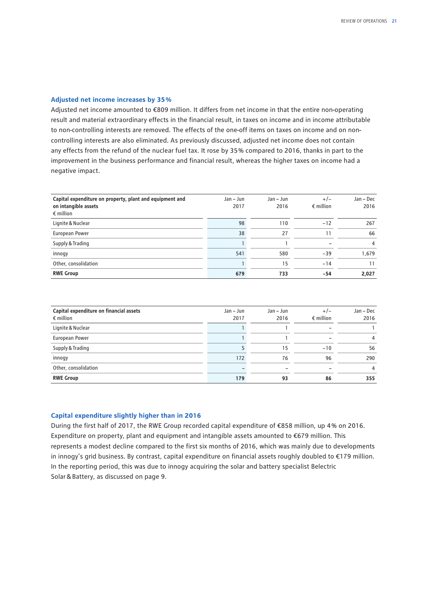#### **Adjusted net income increases by 35 %**

Adjusted net income amounted to €809 million. It differs from net income in that the entire non-operating result and material extraordinary effects in the financial result, in taxes on income and in income attributable to non-controlling interests are removed. The effects of the one-off items on taxes on income and on noncontrolling interests are also eliminated. As previously discussed, adjusted net income does not contain any effects from the refund of the nuclear fuel tax. It rose by 35 % compared to 2016, thanks in part to the improvement in the business performance and financial result, whereas the higher taxes on income had a negative impact.

| Capital expenditure on property, plant and equipment and<br>on intangible assets<br>$\epsilon$ million | Jan – Jun<br>2017 | $Jan - Jun$<br>2016 | $+/-$<br>$\epsilon$ million | Jan – Dec<br>2016 |
|--------------------------------------------------------------------------------------------------------|-------------------|---------------------|-----------------------------|-------------------|
| Lignite & Nuclear                                                                                      | 98                | 110                 | $-12$                       | 267               |
| European Power                                                                                         | 38                | 27                  | 11                          | 66                |
| Supply & Trading                                                                                       |                   |                     |                             | 4                 |
| innogy                                                                                                 | 541               | 580                 | $-39$                       | 1.679             |
| Other, consolidation                                                                                   |                   | 15                  | $-14$                       | 11                |
| <b>RWE Group</b>                                                                                       | 679               | 733                 | -54                         | 2,027             |

| Capital expenditure on financial assets<br>$\epsilon$ million | Jan – Jun<br>2017 | Jan – Jun<br>2016 | $+/-$<br>$\epsilon$ million | Jan – Dec<br>2016 |
|---------------------------------------------------------------|-------------------|-------------------|-----------------------------|-------------------|
| Lignite & Nuclear                                             |                   |                   |                             |                   |
| European Power                                                |                   |                   |                             | 4                 |
| Supply & Trading                                              |                   | 15                | $-10$                       | 56                |
| innogy                                                        | 172               | 76                | 96                          | 290               |
| Other, consolidation                                          |                   |                   |                             | 4                 |
| <b>RWE Group</b>                                              | 179               | 93                | 86                          | 355               |

#### **Capital expenditure slightly higher than in 2016**

During the first half of 2017, the RWE Group recorded capital expenditure of €858 million, up 4 % on 2016. Expenditure on property, plant and equipment and intangible assets amounted to €679 million. This represents a modest decline compared to the first six months of 2016, which was mainly due to developments in innogy's grid business. By contrast, capital expenditure on financial assets roughly doubled to €179 million. In the reporting period, this was due to innogy acquiring the solar and battery specialist Belectric Solar&Battery, as discussed on page 9.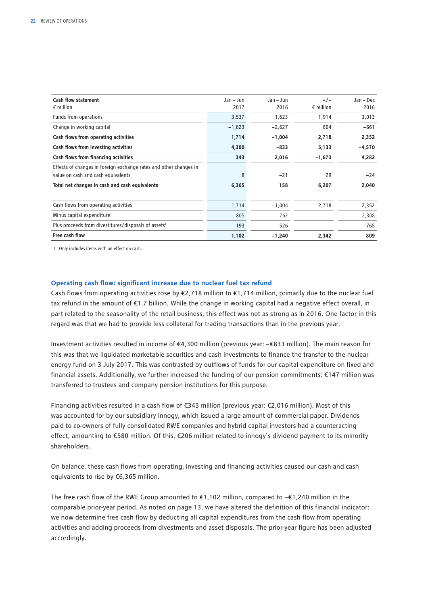| <b>Cash flow statement</b><br>$\epsilon$ million                  | Jan - Jun<br>2017 | $Jan - Jun$<br>2016 | $+/-$<br>$\epsilon$ million | Jan - Dec<br>2016 |
|-------------------------------------------------------------------|-------------------|---------------------|-----------------------------|-------------------|
| Funds from operations                                             | 3,537             | 1,623               | 1,914                       | 3,013             |
| Change in working capital                                         | $-1,823$          | $-2,627$            | 804                         | $-661$            |
| Cash flows from operating activities                              | 1,714             | $-1,004$            | 2,718                       | 2,352             |
| Cash flows from investing activities                              | 4,300             | $-833$              | 5,133                       | $-4,570$          |
| Cash flows from financing activities                              | 343               | 2,016               | $-1,673$                    | 4,282             |
| Effects of changes in foreign exchange rates and other changes in |                   |                     |                             |                   |
| value on cash and cash equivalents                                | 8                 | $-21$               | 29                          | -24               |
| Total net changes in cash and cash equivalents                    | 6,365             | 158                 | 6,207                       | 2,040             |
| Cash flows from operating activities                              | 1,714             | $-1,004$            | 2,718                       | 2,352             |
| Minus capital expenditure <sup>1</sup>                            | $-805$            | $-762$              |                             | $-2,308$          |
| Plus proceeds from divestitures/disposals of assets <sup>1</sup>  | 193               | 526                 |                             | 765               |
| Free cash flow                                                    | 1,102             | $-1,240$            | 2,342                       | 809               |

1 Only includes items with an effect on cash.

#### **Operating cash flow: significant increase due to nuclear fuel tax refund**

Cash flows from operating activities rose by  $\epsilon$ 2,718 million to  $\epsilon$ 1,714 million, primarily due to the nuclear fuel tax refund in the amount of €1.7 billion. While the change in working capital had a negative effect overall, in part related to the seasonality of the retail business, this effect was not as strong as in 2016. One factor in this regard was that we had to provide less collateral for trading transactions than in the previous year.

Investment activities resulted in income of €4,300 million (previous year: −€833 million). The main reason for this was that we liquidated marketable securities and cash investments to finance the transfer to the nuclear energy fund on 3 July 2017. This was contrasted by outflows of funds for our capital expenditure on fixed and financial assets. Additionally, we further increased the funding of our pension commitments: €147 million was transferred to trustees and company pension institutions for this purpose.

Financing activities resulted in a cash flow of €343 million (previous year: €2,016 million). Most of this was accounted for by our subsidiary innogy, which issued a large amount of commercial paper. Dividends paid to co-owners of fully consolidated RWE companies and hybrid capital investors had a counteracting effect, amounting to €580 million. Of this, €206 million related to innogy's dividend payment to its minority shareholders.

On balance, these cash flows from operating, investing and financing activities caused our cash and cash equivalents to rise by €6,365 million.

The free cash flow of the RWE Group amounted to €1,102 million, compared to −€1,240 million in the comparable prior-year period. As noted on page 13, we have altered the definition of this financial indicator: we now determine free cash flow by deducting all capital expenditures from the cash flow from operating activities and adding proceeds from divestments and asset disposals. The prior-year figure has been adjusted accordingly.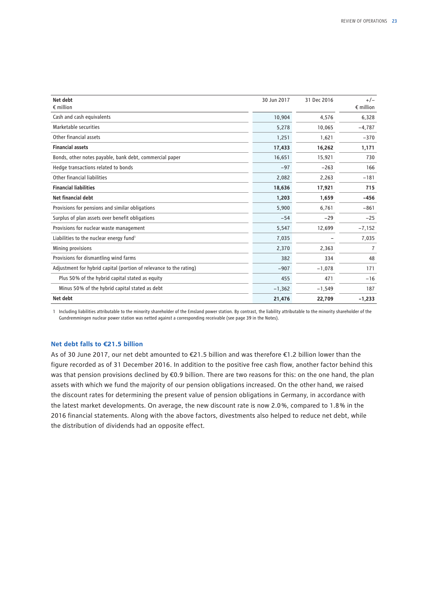| Net debt<br>$\epsilon$ million                                     | 30 Jun 2017 | 31 Dec 2016 | $+/-$<br>$\epsilon$ million |
|--------------------------------------------------------------------|-------------|-------------|-----------------------------|
| Cash and cash equivalents                                          | 10,904      | 4,576       | 6,328                       |
| Marketable securities                                              | 5,278       | 10,065      | $-4,787$                    |
| Other financial assets                                             | 1,251       | 1,621       | $-370$                      |
| <b>Financial assets</b>                                            | 17,433      | 16,262      | 1,171                       |
| Bonds, other notes payable, bank debt, commercial paper            | 16,651      | 15,921      | 730                         |
| Hedge transactions related to bonds                                | $-97$       | $-263$      | 166                         |
| Other financial liabilities                                        | 2,082       | 2,263       | $-181$                      |
| <b>Financial liabilities</b>                                       | 18,636      | 17,921      | 715                         |
| Net financial debt                                                 | 1,203       | 1,659       | $-456$                      |
| Provisions for pensions and similar obligations                    | 5,900       | 6,761       | $-861$                      |
| Surplus of plan assets over benefit obligations                    | $-54$       | $-29$       | $-25$                       |
| Provisions for nuclear waste management                            | 5,547       | 12,699      | $-7,152$                    |
| Liabilities to the nuclear energy fund <sup>1</sup>                | 7,035       |             | 7,035                       |
| Mining provisions                                                  | 2,370       | 2,363       | 7                           |
| Provisions for dismantling wind farms                              | 382         | 334         | 48                          |
| Adjustment for hybrid capital (portion of relevance to the rating) | $-907$      | $-1,078$    | 171                         |
| Plus 50% of the hybrid capital stated as equity                    | 455         | 471         | $-16$                       |
| Minus 50% of the hybrid capital stated as debt                     | $-1,362$    | $-1,549$    | 187                         |
| Net debt                                                           | 21,476      | 22,709      | $-1,233$                    |

1 Including liabilities attributable to the minority shareholder of the Emsland power station. By contrast, the liability attributable to the minority shareholder of the Gundremmingen nuclear power station was netted against a corresponding receivable (see page 39 in the Notes).

#### **Net debt falls to €21.5 billion**

As of 30 June 2017, our net debt amounted to €21.5 billion and was therefore €1.2 billion lower than the figure recorded as of 31 December 2016. In addition to the positive free cash flow, another factor behind this was that pension provisions declined by €0.9 billion. There are two reasons for this: on the one hand, the plan assets with which we fund the majority of our pension obligations increased. On the other hand, we raised the discount rates for determining the present value of pension obligations in Germany, in accordance with the latest market developments. On average, the new discount rate is now 2.0 %, compared to 1.8 % in the 2016 financial statements. Along with the above factors, divestments also helped to reduce net debt, while the distribution of dividends had an opposite effect.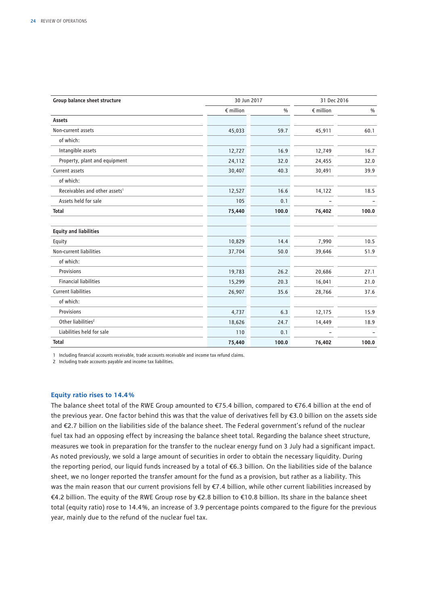| Group balance sheet structure             | 30 Jun 2017        |       | 31 Dec 2016        |       |
|-------------------------------------------|--------------------|-------|--------------------|-------|
|                                           | $\epsilon$ million | $\%$  | $\epsilon$ million | $\%$  |
| Assets                                    |                    |       |                    |       |
| Non-current assets                        | 45,033             | 59.7  | 45,911             | 60.1  |
| of which:                                 |                    |       |                    |       |
| Intangible assets                         | 12,727             | 16.9  | 12,749             | 16.7  |
| Property, plant and equipment             | 24,112             | 32.0  | 24,455             | 32.0  |
| Current assets                            | 30,407             | 40.3  | 30,491             | 39.9  |
| of which:                                 |                    |       |                    |       |
| Receivables and other assets <sup>1</sup> | 12,527             | 16.6  | 14,122             | 18.5  |
| Assets held for sale                      | 105                | 0.1   |                    |       |
| <b>Total</b>                              | 75,440             | 100.0 | 76,402             | 100.0 |
| <b>Equity and liabilities</b>             |                    |       |                    |       |
| Equity                                    | 10,829             | 14.4  | 7,990              | 10.5  |
| Non-current liabilities                   | 37,704             | 50.0  | 39,646             | 51.9  |
| of which:                                 |                    |       |                    |       |
| Provisions                                | 19,783             | 26.2  | 20,686             | 27.1  |
| <b>Financial liabilities</b>              | 15,299             | 20.3  | 16,041             | 21.0  |
| <b>Current liabilities</b>                | 26,907             | 35.6  | 28,766             | 37.6  |
| of which:                                 |                    |       |                    |       |
| Provisions                                | 4,737              | 6.3   | 12,175             | 15.9  |
| Other liabilities <sup>2</sup>            | 18,626             | 24.7  | 14,449             | 18.9  |
| Liabilities held for sale                 | 110                | 0.1   |                    |       |
| <b>Total</b>                              | 75,440             | 100.0 | 76,402             | 100.0 |

1 Including financial accounts receivable, trade accounts receivable and income tax refund claims.

2 Including trade accounts payable and income tax liabilities.

#### **Equity ratio rises to 14.4 %**

The balance sheet total of the RWE Group amounted to €75.4 billion, compared to €76.4 billion at the end of the previous year. One factor behind this was that the value of derivatives fell by €3.0 billion on the assets side and €2.7 billion on the liabilities side of the balance sheet. The Federal government's refund of the nuclear fuel tax had an opposing effect by increasing the balance sheet total. Regarding the balance sheet structure, measures we took in preparation for the transfer to the nuclear energy fund on 3 July had a significant impact. As noted previously, we sold a large amount of securities in order to obtain the necessary liquidity. During the reporting period, our liquid funds increased by a total of €6.3 billion. On the liabilities side of the balance sheet, we no longer reported the transfer amount for the fund as a provision, but rather as a liability. This was the main reason that our current provisions fell by €7.4 billion, while other current liabilities increased by €4.2 billion. The equity of the RWE Group rose by €2.8 billion to €10.8 billion. Its share in the balance sheet total (equity ratio) rose to 14.4 %, an increase of 3.9 percentage points compared to the figure for the previous year, mainly due to the refund of the nuclear fuel tax.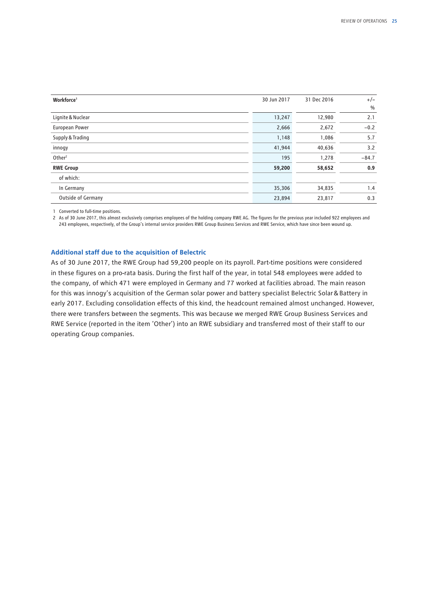| Workforce <sup>1</sup> | 30 Jun 2017 | 31 Dec 2016 | $+/-$         |
|------------------------|-------------|-------------|---------------|
|                        |             |             | $\frac{0}{0}$ |
| Lignite & Nuclear      | 13,247      | 12,980      | 2.1           |
| European Power         | 2,666       | 2,672       | $-0.2$        |
| Supply & Trading       | 1,148       | 1,086       | 5.7           |
| innogy                 | 41,944      | 40,636      | 3.2           |
| Other <sup>2</sup>     | 195         | 1,278       | $-84.7$       |
| <b>RWE Group</b>       | 59,200      | 58,652      | 0.9           |
| of which:              |             |             |               |
| In Germany             | 35,306      | 34,835      | 1.4           |
| Outside of Germany     | 23,894      | 23,817      | 0.3           |

1 Converted to full-time positions.

2 As of 30 June 2017, this almost exclusively comprises employees of the holding company RWE AG. The figures for the previous year included 922 employees and 243 employees, respectively, of the Group's internal service providers RWE Group Business Services and RWE Service, which have since been wound up.

#### **Additional staff due to the acquisition of Belectric**

As of 30 June 2017, the RWE Group had 59,200 people on its payroll. Part-time positions were considered in these figures on a pro-rata basis. During the first half of the year, in total 548 employees were added to the company, of which 471 were employed in Germany and 77 worked at facilities abroad. The main reason for this was innogy's acquisition of the German solar power and battery specialist Belectric Solar&Battery in early 2017. Excluding consolidation effects of this kind, the headcount remained almost unchanged. However, there were transfers between the segments. This was because we merged RWE Group Business Services and RWE Service (reported in the item 'Other') into an RWE subsidiary and transferred most of their staff to our operating Group companies.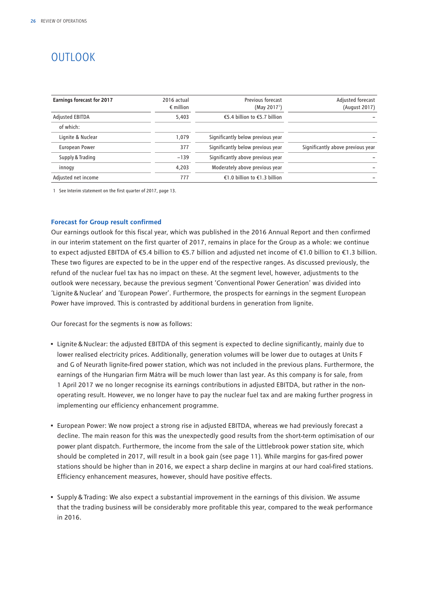## <span id="page-27-0"></span>OUTLOOK

| <b>Earnings forecast for 2017</b> | 2016 actual<br>$\epsilon$ million | Previous forecast<br>(May 2017 <sup>1</sup> ) | Adjusted forecast<br>(August 2017) |
|-----------------------------------|-----------------------------------|-----------------------------------------------|------------------------------------|
| Adjusted EBITDA                   | 5.403                             | €5.4 billion to €5.7 billion                  |                                    |
| of which:                         |                                   |                                               |                                    |
| Lignite & Nuclear                 | 1.079                             | Significantly below previous year             |                                    |
| European Power                    | 377                               | Significantly below previous year             | Significantly above previous year  |
| Supply & Trading                  | $-139$                            | Significantly above previous year             |                                    |
| innogy                            | 4.203                             | Moderately above previous year                |                                    |
| Adjusted net income               | 777                               | €1.0 billion to €1.3 billion                  |                                    |

1 See Interim statement on the first quarter of 2017, page 13.

#### **Forecast for Group result confirmed**

Our earnings outlook for this fiscal year, which was published in the 2016 Annual Report and then confirmed in our interim statement on the first quarter of 2017, remains in place for the Group as a whole: we continue to expect adjusted EBITDA of €5.4 billion to €5.7 billion and adjusted net income of €1.0 billion to €1.3 billion. These two figures are expected to be in the upper end of the respective ranges. As discussed previously, the refund of the nuclear fuel tax has no impact on these. At the segment level, however, adjustments to the outlook were necessary, because the previous segment 'Conventional Power Generation' was divided into 'Lignite&Nuclear' and 'European Power'. Furthermore, the prospects for earnings in the segment European Power have improved. This is contrasted by additional burdens in generation from lignite.

Our forecast for the segments is now as follows:

- Lignite&Nuclear: the adjusted EBITDA of this segment is expected to decline significantly, mainly due to lower realised electricity prices. Additionally, generation volumes will be lower due to outages at Units F and G of Neurath lignite-fired power station, which was not included in the previous plans. Furthermore, the earnings of the Hungarian firm Mátra will be much lower than last year. As this company is for sale, from 1 April 2017 we no longer recognise its earnings contributions in adjusted EBITDA, but rather in the nonoperating result. However, we no longer have to pay the nuclear fuel tax and are making further progress in implementing our efficiency enhancement programme.
- European Power: We now project a strong rise in adjusted EBITDA, whereas we had previously forecast a decline. The main reason for this was the unexpectedly good results from the short-term optimisation of our power plant dispatch. Furthermore, the income from the sale of the Littlebrook power station site, which should be completed in 2017, will result in a book gain (see page 11). While margins for gas-fired power stations should be higher than in 2016, we expect a sharp decline in margins at our hard coal-fired stations. Efficiency enhancement measures, however, should have positive effects.
- Supply&Trading: We also expect a substantial improvement in the earnings of this division. We assume that the trading business will be considerably more profitable this year, compared to the weak performance in 2016.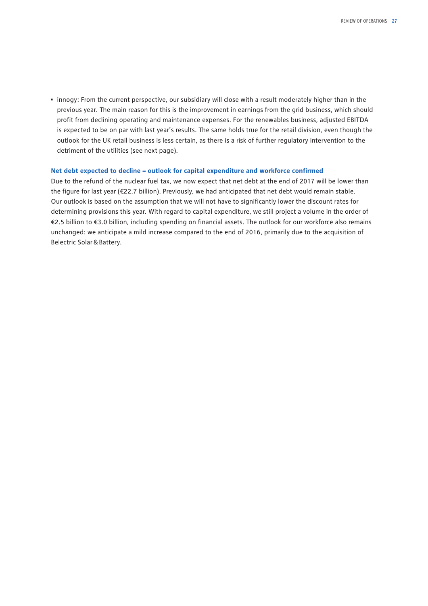• innogy: From the current perspective, our subsidiary will close with a result moderately higher than in the previous year. The main reason for this is the improvement in earnings from the grid business, which should profit from declining operating and maintenance expenses. For the renewables business, adjusted EBITDA is expected to be on par with last year's results. The same holds true for the retail division, even though the outlook for the UK retail business is less certain, as there is a risk of further regulatory intervention to the detriment of the utilities (see next page).

#### **Net debt expected to decline – outlook for capital expenditure and workforce confirmed**

Due to the refund of the nuclear fuel tax, we now expect that net debt at the end of 2017 will be lower than the figure for last year (€22.7 billion). Previously, we had anticipated that net debt would remain stable. Our outlook is based on the assumption that we will not have to significantly lower the discount rates for determining provisions this year. With regard to capital expenditure, we still project a volume in the order of €2.5 billion to €3.0 billion, including spending on financial assets. The outlook for our workforce also remains unchanged: we anticipate a mild increase compared to the end of 2016, primarily due to the acquisition of Belectric Solar&Battery.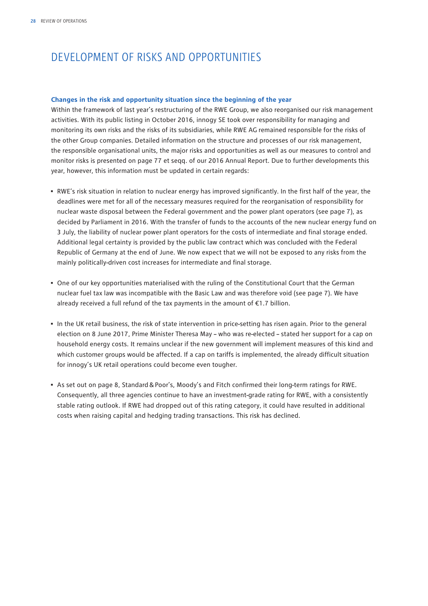## <span id="page-29-0"></span>DEVELOPMENT OF RISKS AND OPPORTUNITIES

#### **Changes in the risk and opportunity situation since the beginning of the year**

Within the framework of last year's restructuring of the RWE Group, we also reorganised our risk management activities. With its public listing in October 2016, innogy SE took over responsibility for managing and monitoring its own risks and the risks of its subsidiaries, while RWE AG remained responsible for the risks of the other Group companies. Detailed information on the structure and processes of our risk management, the responsible organisational units, the major risks and opportunities as well as our measures to control and monitor risks is presented on page 77 et seqq. of our 2016 Annual Report. Due to further developments this year, however, this information must be updated in certain regards:

- RWE's risk situation in relation to nuclear energy has improved significantly. In the first half of the year, the deadlines were met for all of the necessary measures required for the reorganisation of responsibility for nuclear waste disposal between the Federal government and the power plant operators (see page 7), as decided by Parliament in 2016. With the transfer of funds to the accounts of the new nuclear energy fund on 3 July, the liability of nuclear power plant operators for the costs of intermediate and final storage ended. Additional legal certainty is provided by the public law contract which was concluded with the Federal Republic of Germany at the end of June. We now expect that we will not be exposed to any risks from the mainly politically-driven cost increases for intermediate and final storage.
- One of our key opportunities materialised with the ruling of the Constitutional Court that the German nuclear fuel tax law was incompatible with the Basic Law and was therefore void (see page 7). We have already received a full refund of the tax payments in the amount of €1.7 billion.
- In the UK retail business, the risk of state intervention in price-setting has risen again. Prior to the general election on 8 June 2017, Prime Minister Theresa May – who was re-elected – stated her support for a cap on household energy costs. It remains unclear if the new government will implement measures of this kind and which customer groups would be affected. If a cap on tariffs is implemented, the already difficult situation for innogy's UK retail operations could become even tougher.
- As set out on page 8, Standard&Poor's, Moody's and Fitch confirmed their long-term ratings for RWE. Consequently, all three agencies continue to have an investment-grade rating for RWE, with a consistently stable rating outlook. If RWE had dropped out of this rating category, it could have resulted in additional costs when raising capital and hedging trading transactions. This risk has declined.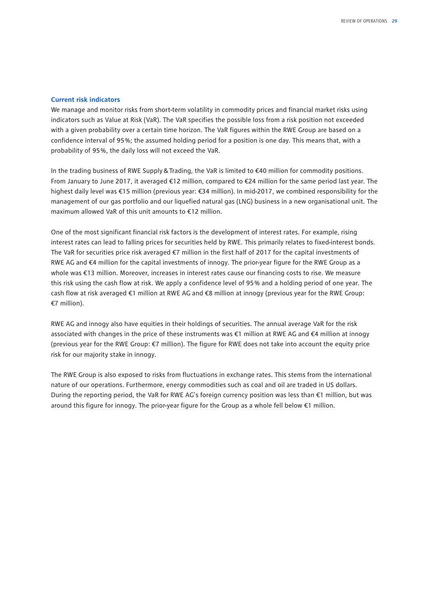#### **Current risk indicators**

We manage and monitor risks from short-term volatility in commodity prices and financial market risks using indicators such as Value at Risk (VaR). The VaR specifies the possible loss from a risk position not exceeded with a given probability over a certain time horizon. The VaR figures within the RWE Group are based on a confidence interval of 95 %; the assumed holding period for a position is one day. This means that, with a probability of 95 %, the daily loss will not exceed the VaR.

In the trading business of RWE Supply&Trading, the VaR is limited to €40 million for commodity positions. From January to June 2017, it averaged €12 million, compared to €24 million for the same period last year. The highest daily level was €15 million (previous year: €34 million). In mid-2017, we combined responsibility for the management of our gas portfolio and our liquefied natural gas (LNG) business in a new organisational unit. The maximum allowed VaR of this unit amounts to €12 million.

One of the most significant financial risk factors is the development of interest rates. For example, rising interest rates can lead to falling prices for securities held by RWE. This primarily relates to fixed-interest bonds. The VaR for securities price risk averaged €7 million in the first half of 2017 for the capital investments of RWE AG and €4 million for the capital investments of innogy. The prior-year figure for the RWE Group as a whole was €13 million. Moreover, increases in interest rates cause our financing costs to rise. We measure this risk using the cash flow at risk. We apply a confidence level of 95 % and a holding period of one year. The cash flow at risk averaged €1 million at RWE AG and €8 million at innogy (previous year for the RWE Group: €7 million).

RWE AG and innogy also have equities in their holdings of securities. The annual average VaR for the risk associated with changes in the price of these instruments was €1 million at RWE AG and €4 million at innogy (previous year for the RWE Group: €7 million). The figure for RWE does not take into account the equity price risk for our majority stake in innogy.

The RWE Group is also exposed to risks from fluctuations in exchange rates. This stems from the international nature of our operations. Furthermore, energy commodities such as coal and oil are traded in US dollars. During the reporting period, the VaR for RWE AG's foreign currency position was less than €1 million, but was around this figure for innogy. The prior-year figure for the Group as a whole fell below €1 million.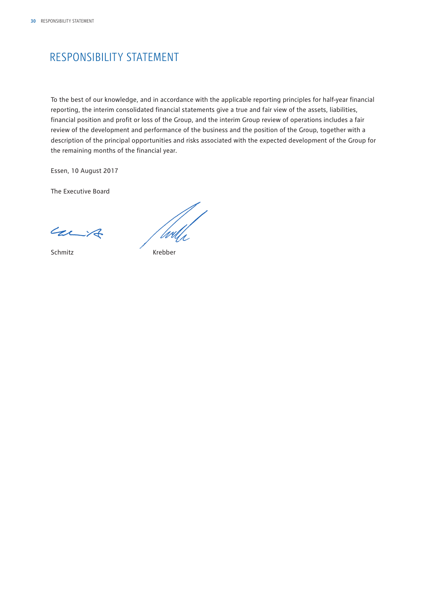## <span id="page-31-0"></span>RESPONSIBILITY STATEMENT

To the best of our knowledge, and in accordance with the applicable reporting principles for half-year financial reporting, the interim consolidated financial statements give a true and fair view of the assets, liabilities, financial position and profit or loss of the Group, and the interim Group review of operations includes a fair review of the development and performance of the business and the position of the Group, together with a description of the principal opportunities and risks associated with the expected development of the Group for the remaining months of the financial year.

Essen, 10 August 2017

The Executive Board

Carit

 $rac{c}{\sqrt{4\pi}}$ Schmitz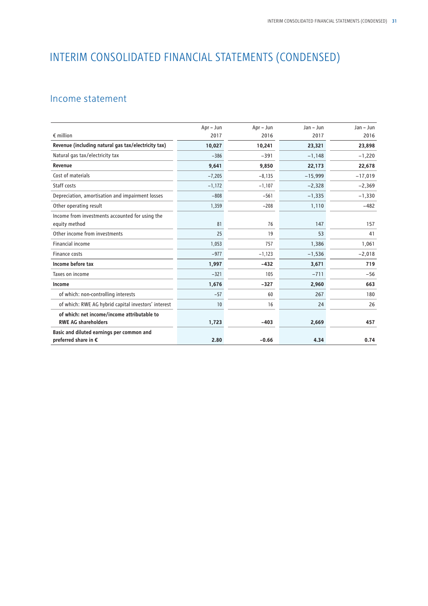## <span id="page-32-0"></span>INTERIM CONSOLIDATED FINANCIAL STATEMENTS (CONDENSED)

## Income statement

|                                                                  | Apr - Jun | Apr - Jun | $Jan - Jun$ | $Jan - Jun$ |
|------------------------------------------------------------------|-----------|-----------|-------------|-------------|
| $\epsilon$ million                                               | 2017      | 2016      | 2017        | 2016        |
| Revenue (including natural gas tax/electricity tax)              | 10,027    | 10,241    | 23,321      | 23,898      |
| Natural gas tax/electricity tax                                  | $-386$    | $-391$    | $-1,148$    | $-1,220$    |
| Revenue                                                          | 9,641     | 9,850     | 22,173      | 22,678      |
| Cost of materials                                                | $-7,205$  | $-8,135$  | $-15,999$   | $-17,019$   |
| Staff costs                                                      | $-1,172$  | $-1,107$  | $-2,328$    | $-2,369$    |
| Depreciation, amortisation and impairment losses                 | $-808$    | $-561$    | $-1,335$    | $-1,330$    |
| Other operating result                                           | 1,359     | $-208$    | 1,110       | $-482$      |
| Income from investments accounted for using the<br>equity method | 81        | 76        | 147         | 157         |
| Other income from investments                                    | 25        | 19        | 53          | 41          |
| <b>Financial income</b>                                          | 1,053     | 757       | 1,386       | 1,061       |
| Finance costs                                                    | $-977$    | $-1,123$  | $-1,536$    | $-2,018$    |
| Income before tax                                                | 1,997     | $-432$    | 3,671       | 719         |
| Taxes on income                                                  | $-321$    | 105       | $-711$      | $-56$       |
| Income                                                           | 1,676     | $-327$    | 2,960       | 663         |
| of which: non-controlling interests                              | $-57$     | 60        | 267         | 180         |
| of which: RWE AG hybrid capital investors' interest              | 10        | 16        | 24          | 26          |
| of which: net income/income attributable to                      |           |           |             |             |
| <b>RWE AG shareholders</b>                                       | 1,723     | $-403$    | 2,669       | 457         |
| Basic and diluted earnings per common and                        |           |           |             |             |
| preferred share in €                                             | 2.80      | $-0.66$   | 4.34        | 0.74        |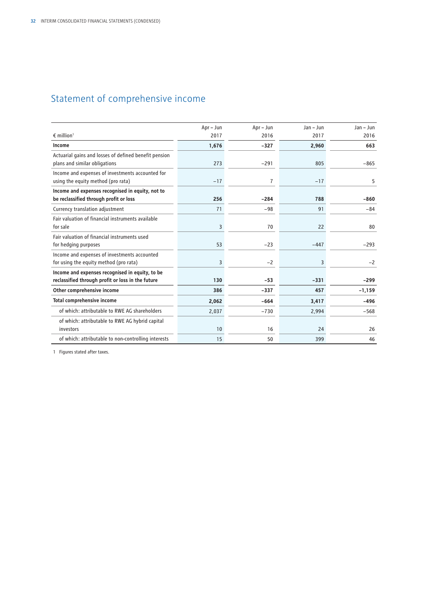## <span id="page-33-0"></span>Statement of comprehensive income

|                                                                                                      | Apr - Jun | Apr - Jun | $Jan - Jun$ | $Jan - Jun$ |
|------------------------------------------------------------------------------------------------------|-----------|-----------|-------------|-------------|
| $\epsilon$ million <sup>1</sup>                                                                      | 2017      | 2016      | 2017        | 2016        |
| Income                                                                                               | 1,676     | $-327$    | 2.960       | 663         |
| Actuarial gains and losses of defined benefit pension<br>plans and similar obligations               | 273       | $-291$    | 805         | $-865$      |
| Income and expenses of investments accounted for<br>using the equity method (pro rata)               | $-17$     | 7         | $-17$       | 5           |
| Income and expenses recognised in equity, not to<br>be reclassified through profit or loss           | 256       | $-284$    | 788         | $-860$      |
| Currency translation adjustment                                                                      | 71        | $-98$     | 91          | $-84$       |
| Fair valuation of financial instruments available<br>for sale                                        | 3         | 70        | 22          | 80          |
| Fair valuation of financial instruments used<br>for hedging purposes                                 | 53        | $-23$     | $-447$      | $-293$      |
| Income and expenses of investments accounted<br>for using the equity method (pro rata)               | 3         | $-2$      | 3           | $-2$        |
| Income and expenses recognised in equity, to be<br>reclassified through profit or loss in the future | 130       | $-53$     | $-331$      | $-299$      |
| Other comprehensive income                                                                           | 386       | $-337$    | 457         | $-1,159$    |
| <b>Total comprehensive income</b>                                                                    | 2,062     | $-664$    | 3,417       | $-496$      |
| of which: attributable to RWE AG shareholders                                                        | 2,037     | $-730$    | 2,994       | $-568$      |
| of which: attributable to RWE AG hybrid capital<br>investors                                         | 10        | 16        | 24          | 26          |
| of which: attributable to non-controlling interests                                                  | 15        | 50        | 399         | 46          |

1 Figures stated after taxes.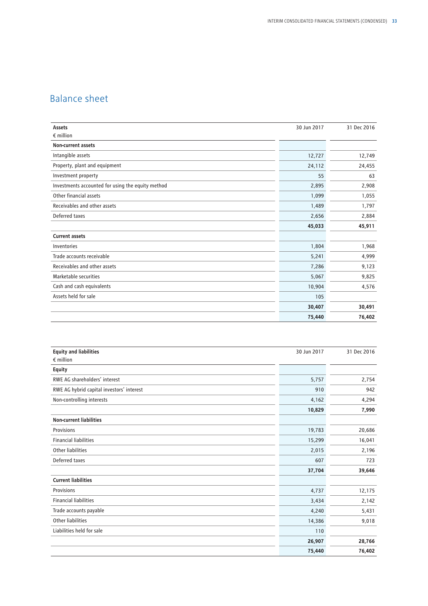## <span id="page-34-0"></span>Balance sheet

| Assets                                            | 30 Jun 2017 | 31 Dec 2016 |
|---------------------------------------------------|-------------|-------------|
| $\epsilon$ million                                |             |             |
| <b>Non-current assets</b>                         |             |             |
| Intangible assets                                 | 12,727      | 12,749      |
| Property, plant and equipment                     | 24,112      | 24,455      |
| Investment property                               | 55          | 63          |
| Investments accounted for using the equity method | 2,895       | 2,908       |
| Other financial assets                            | 1,099       | 1,055       |
| Receivables and other assets                      | 1,489       | 1,797       |
| Deferred taxes                                    | 2,656       | 2,884       |
|                                                   | 45,033      | 45,911      |
| <b>Current assets</b>                             |             |             |
| Inventories                                       | 1,804       | 1,968       |
| Trade accounts receivable                         | 5,241       | 4,999       |
| Receivables and other assets                      | 7,286       | 9,123       |
| Marketable securities                             | 5,067       | 9,825       |
| Cash and cash equivalents                         | 10,904      | 4,576       |
| Assets held for sale                              | 105         |             |
|                                                   | 30,407      | 30,491      |
|                                                   | 75,440      | 76,402      |

| <b>Equity and liabilities</b>             | 30 Jun 2017 | 31 Dec 2016 |
|-------------------------------------------|-------------|-------------|
| $\epsilon$ million                        |             |             |
| <b>Equity</b>                             |             |             |
| RWE AG shareholders' interest             | 5,757       | 2,754       |
| RWE AG hybrid capital investors' interest | 910         | 942         |
| Non-controlling interests                 | 4,162       | 4,294       |
|                                           | 10,829      | 7,990       |
| <b>Non-current liabilities</b>            |             |             |
| Provisions                                | 19,783      | 20,686      |
| <b>Financial liabilities</b>              | 15,299      | 16,041      |
| <b>Other liabilities</b>                  | 2,015       | 2,196       |
| Deferred taxes                            | 607         | 723         |
|                                           | 37,704      | 39,646      |
| <b>Current liabilities</b>                |             |             |
| Provisions                                | 4,737       | 12,175      |
| <b>Financial liabilities</b>              | 3,434       | 2,142       |
| Trade accounts payable                    | 4,240       | 5,431       |
| <b>Other liabilities</b>                  | 14,386      | 9,018       |
| Liabilities held for sale                 | 110         |             |
|                                           | 26,907      | 28,766      |
|                                           | 75,440      | 76,402      |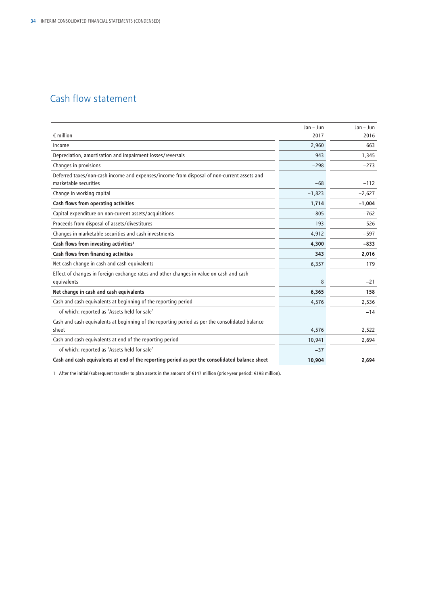## <span id="page-35-0"></span>Cash flow statement

|                                                                                                        | Jan - Jun | $Jan - Jun$ |
|--------------------------------------------------------------------------------------------------------|-----------|-------------|
| $\epsilon$ million                                                                                     | 2017      | 2016        |
| Income                                                                                                 | 2,960     | 663         |
| Depreciation, amortisation and impairment losses/reversals                                             | 943       | 1,345       |
| Changes in provisions                                                                                  | $-298$    | $-273$      |
| Deferred taxes/non-cash income and expenses/income from disposal of non-current assets and             |           |             |
| marketable securities                                                                                  | $-68$     | $-112$      |
| Change in working capital                                                                              | $-1,823$  | $-2,627$    |
| Cash flows from operating activities                                                                   | 1,714     | $-1,004$    |
| Capital expenditure on non-current assets/acquisitions                                                 | $-805$    | $-762$      |
| Proceeds from disposal of assets/divestitures                                                          | 193       | 526         |
| Changes in marketable securities and cash investments                                                  | 4,912     | $-597$      |
| Cash flows from investing activities <sup>1</sup>                                                      | 4,300     | $-833$      |
| Cash flows from financing activities                                                                   | 343       | 2,016       |
| Net cash change in cash and cash equivalents                                                           | 6,357     | 179         |
| Effect of changes in foreign exchange rates and other changes in value on cash and cash<br>equivalents | 8         | $-21$       |
| Net change in cash and cash equivalents                                                                | 6,365     | 158         |
| Cash and cash equivalents at beginning of the reporting period                                         | 4,576     | 2,536       |
| of which: reported as 'Assets held for sale'                                                           |           | $-14$       |
| Cash and cash equivalents at beginning of the reporting period as per the consolidated balance         |           |             |
| sheet                                                                                                  | 4,576     | 2,522       |
| Cash and cash equivalents at end of the reporting period                                               | 10,941    | 2,694       |
| of which: reported as 'Assets held for sale'                                                           | $-37$     |             |
| Cash and cash equivalents at end of the reporting period as per the consolidated balance sheet         | 10,904    | 2,694       |

1 After the initial/subsequent transfer to plan assets in the amount of €147 million (prior-year period: €198 million).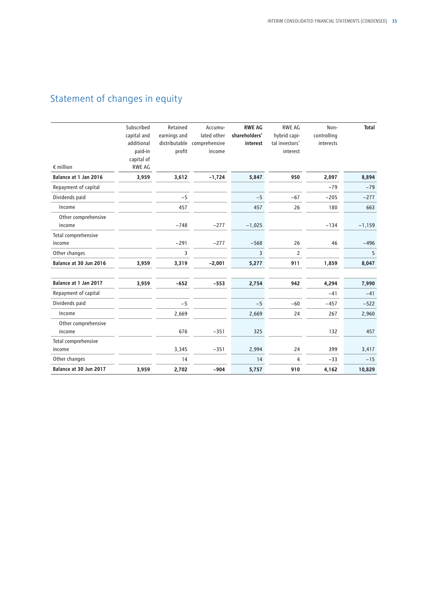## <span id="page-36-0"></span>Statement of changes in equity

| $\epsilon$ million            | Subscribed<br>capital and<br>additional<br>paid-in<br>capital of<br><b>RWE AG</b> | Retained<br>earnings and<br>profit | Accumu-<br>lated other<br>distributable comprehensive<br>income | <b>RWE AG</b><br>shareholders'<br>interest | RWE AG<br>hybrid capi-<br>tal investors'<br>interest | Non-<br>controlling<br>interests | <b>Total</b> |
|-------------------------------|-----------------------------------------------------------------------------------|------------------------------------|-----------------------------------------------------------------|--------------------------------------------|------------------------------------------------------|----------------------------------|--------------|
| Balance at 1 Jan 2016         | 3,959                                                                             | 3,612                              | $-1,724$                                                        | 5,847                                      | 950                                                  | 2,097                            | 8,894        |
| Repayment of capital          |                                                                                   |                                    |                                                                 |                                            |                                                      | $-79$                            | $-79$        |
| Dividends paid                |                                                                                   | $-5$                               |                                                                 | $-5$                                       | $-67$                                                | $-205$                           | $-277$       |
| Income                        |                                                                                   | 457                                |                                                                 | 457                                        | 26                                                   | 180                              | 663          |
| Other comprehensive<br>income |                                                                                   | $-748$                             | $-277$                                                          | $-1,025$                                   |                                                      | $-134$                           | $-1,159$     |
| Total comprehensive<br>income |                                                                                   | $-291$                             | $-277$                                                          | $-568$                                     | 26                                                   | 46                               | $-496$       |
| Other changes                 |                                                                                   | 3                                  |                                                                 | 3                                          | $\overline{2}$                                       |                                  | 5            |
| Balance at 30 Jun 2016        | 3,959                                                                             | 3,319                              | $-2,001$                                                        | 5,277                                      | 911                                                  | 1,859                            | 8,047        |
| Balance at 1 Jan 2017         | 3,959                                                                             | $-652$                             | $-553$                                                          | 2,754                                      | 942                                                  | 4,294                            | 7,990        |
| Repayment of capital          |                                                                                   |                                    |                                                                 |                                            |                                                      | $-41$                            | $-41$        |
| Dividends paid                |                                                                                   | $-5$                               |                                                                 | $-5$                                       | $-60$                                                | $-457$                           | $-522$       |
| Income                        |                                                                                   | 2,669                              |                                                                 | 2,669                                      | 24                                                   | 267                              | 2,960        |
| Other comprehensive<br>income |                                                                                   | 676                                | $-351$                                                          | 325                                        |                                                      | 132                              | 457          |
| Total comprehensive           |                                                                                   |                                    |                                                                 |                                            |                                                      |                                  |              |
| income                        |                                                                                   | 3,345                              | $-351$                                                          | 2,994                                      | 24                                                   | 399                              | 3,417        |
| Other changes                 |                                                                                   | 14                                 |                                                                 | 14                                         | 4                                                    | $-33$                            | $-15$        |
| Balance at 30 Jun 2017        | 3,959                                                                             | 2,702                              | $-904$                                                          | 5,757                                      | 910                                                  | 4,162                            | 10,829       |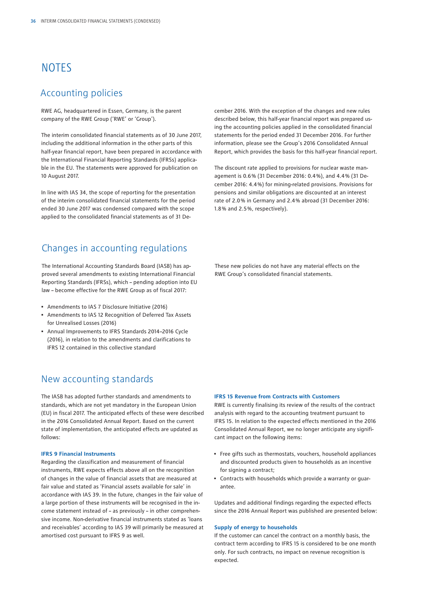## <span id="page-37-0"></span>**NOTES**

## Accounting policies

RWE AG, headquartered in Essen, Germany, is the parent company of the RWE Group ('RWE' or 'Group').

The interim consolidated financial statements as of 30 June 2017, including the additional information in the other parts of this half-year financial report, have been prepared in accordance with the International Financial Reporting Standards (IFRSs) applicable in the EU. The statements were approved for publication on 10 August 2017.

In line with IAS 34, the scope of reporting for the presentation of the interim consolidated financial statements for the period ended 30 June 2017 was condensed compared with the scope applied to the consolidated financial statements as of 31 De-

### Changes in accounting regulations

The International Accounting Standards Board (IASB) has approved several amendments to existing International Financial Reporting Standards (IFRSs), which – pending adoption into EU law – become effective for the RWE Group as of fiscal 2017:

- Amendments to IAS 7 Disclosure Initiative (2016)
- Amendments to IAS 12 Recognition of Deferred Tax Assets for Unrealised Losses (2016)
- Annual Improvements to IFRS Standards 2014–2016 Cycle (2016), in relation to the amendments and clarifications to IFRS 12 contained in this collective standard

### New accounting standards

The IASB has adopted further standards and amendments to standards, which are not yet mandatory in the European Union (EU) in fiscal 2017. The anticipated effects of these were described in the 2016 Consolidated Annual Report. Based on the current state of implementation, the anticipated effects are updated as follows:

#### **IFRS 9 Financial Instruments**

Regarding the classification and measurement of financial instruments, RWE expects effects above all on the recognition of changes in the value of financial assets that are measured at fair value and stated as 'Financial assets available for sale' in accordance with IAS 39. In the future, changes in the fair value of a large portion of these instruments will be recognised in the income statement instead of – as previously – in other comprehensive income. Non-derivative financial instruments stated as 'loans and receivables' according to IAS 39 will primarily be measured at amortised cost pursuant to IFRS 9 as well.

cember 2016. With the exception of the changes and new rules described below, this half-year financial report was prepared using the accounting policies applied in the consolidated financial statements for the period ended 31 December 2016. For further information, please see the Group's 2016 Consolidated Annual Report, which provides the basis for this half-year financial report.

The discount rate applied to provisions for nuclear waste management is 0.6 % (31 December 2016: 0.4 %), and 4.4 % (31 December 2016: 4.4 %) for mining-related provisions. Provisions for pensions and similar obligations are discounted at an interest rate of 2.0 % in Germany and 2.4 % abroad (31 December 2016: 1.8 % and 2.5 %, respectively).

These new policies do not have any material effects on the RWE Group's consolidated financial statements.

#### **IFRS 15 Revenue from Contracts with Customers**

RWE is currently finalising its review of the results of the contract analysis with regard to the accounting treatment pursuant to IFRS 15. In relation to the expected effects mentioned in the 2016 Consolidated Annual Report, we no longer anticipate any significant impact on the following items:

- Free gifts such as thermostats, vouchers, household appliances and discounted products given to households as an incentive for signing a contract;
- Contracts with households which provide a warranty or guarantee.

Updates and additional findings regarding the expected effects since the 2016 Annual Report was published are presented below:

#### **Supply of energy to households**

If the customer can cancel the contract on a monthly basis, the contract term according to IFRS 15 is considered to be one month only. For such contracts, no impact on revenue recognition is expected.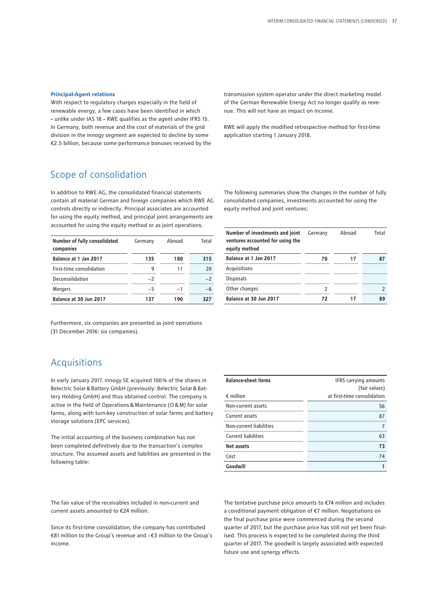#### **Principal-Agent relations**

With respect to regulatory charges especially in the field of renewable energy, a few cases have been identified in which – unlike under IAS 18 – RWE qualifies as the agent under IFRS 15. In Germany, both revenue and the cost of materials of the grid division in the innogy segment are expected to decline by some €2.5 billion, because some performance bonuses received by the transmission system operator under the direct marketing model of the German Renewable Energy Act no longer qualify as revenue. This will not have an impact on income.

RWE will apply the modified retrospective method for first-time application starting 1 January 2018.

### Scope of consolidation

In addition to RWE AG, the consolidated financial statements contain all material German and foreign companies which RWE AG controls directly or indirectly. Principal associates are accounted for using the equity method, and principal joint arrangements are accounted for using the equity method or as joint operations.

| Number of fully consolidated<br>companies | Germany | Abroad | Total |
|-------------------------------------------|---------|--------|-------|
| Balance at 1 Jan 2017                     | 135     | 180    | 315   |
| First-time consolidation                  | 9       | 11     | 20    |
| Deconsolidation                           | $-2$    |        | $-2$  |
| <b>Mergers</b>                            | $-5$    | $-1$   | -6    |
| Balance at 30 Jun 2017                    | 137     | 190    | 327   |

Furthermore, six companies are presented as joint operations (31 December 2016: six companies).

### Acquisitions

In early January 2017, innogy SE acquired 100 % of the shares in Belectric Solar&Battery GmbH (previously: Belectric Solar&Battery Holding GmbH) and thus obtained control. The company is active in the field of Operations&Maintenance (O&M) for solar farms, along with turn-key construction of solar farms and battery storage solutions (EPC services).

The initial accounting of the business combination has not been completed definitively due to the transaction's complex structure. The assumed assets and liabilities are presented in the following table:

| <b>Balance-sheet items</b> | IFRS carrying amounts<br>(fair values) |
|----------------------------|----------------------------------------|
| $\epsilon$ million         | at first-time consolidation            |
| Non-current assets         | 56                                     |
| Current assets             | 87                                     |
| Non-current liabilities    |                                        |
| <b>Current liabilities</b> | 63                                     |
| Net assets                 | 73                                     |
| Cost                       | 74                                     |
| Goodwill                   |                                        |

The fair value of the receivables included in non-current and current assets amounted to €24 million.

Since its first-time consolidation, the company has contributed €81 million to the Group's revenue and −€3 million to the Group's income.

The tentative purchase price amounts to €74 million and includes a conditional payment obligation of €7 million. Negotiations on the final purchase price were commenced during the second quarter of 2017, but the purchase price has still not yet been finalised. This process is expected to be completed during the third quarter of 2017. The goodwill is largely associated with expected future use and synergy effects.

The following summaries show the changes in the number of fully consolidated companies, investments accounted for using the equity method and joint ventures:

| Number of investments and joint<br>ventures accounted for using the<br>equity method | Germany | Abroad | Total |
|--------------------------------------------------------------------------------------|---------|--------|-------|
| Balance at 1 Jan 2017                                                                | 70      | 17     | 87    |
| Acquisitions                                                                         |         |        |       |
| <b>Disposals</b>                                                                     |         |        |       |
| Other changes                                                                        | 2       |        |       |
| Balance at 30 Jun 2017                                                               | 72      |        | 89    |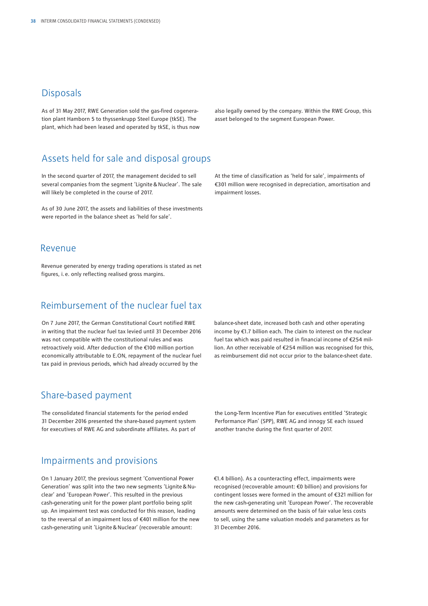### **Disposals**

As of 31 May 2017, RWE Generation sold the gas-fired cogeneration plant Hamborn 5 to thyssenkrupp Steel Europe (tkSE). The plant, which had been leased and operated by tkSE, is thus now also legally owned by the company. Within the RWE Group, this asset belonged to the segment European Power.

## Assets held for sale and disposal groups

In the second quarter of 2017, the management decided to sell several companies from the segment 'Lignite & Nuclear'. The sale will likely be completed in the course of 2017.

As of 30 June 2017, the assets and liabilities of these investments were reported in the balance sheet as 'held for sale'.

### Revenue

Revenue generated by energy trading operations is stated as net figures, i.e. only reflecting realised gross margins.

## Reimbursement of the nuclear fuel tax

On 7 June 2017, the German Constitutional Court notified RWE in writing that the nuclear fuel tax levied until 31 December 2016 was not compatible with the constitutional rules and was retroactively void. After deduction of the €100 million portion economically attributable to E.ON, repayment of the nuclear fuel tax paid in previous periods, which had already occurred by the

At the time of classification as 'held for sale', impairments of €301 million were recognised in depreciation, amortisation and impairment losses.

balance-sheet date, increased both cash and other operating income by €1.7 billion each. The claim to interest on the nuclear fuel tax which was paid resulted in financial income of €254 million. An other receivable of €254 million was recognised for this, as reimbursement did not occur prior to the balance-sheet date.

### Share-based payment

The consolidated financial statements for the period ended 31 December 2016 presented the share-based payment system for executives of RWE AG and subordinate affiliates. As part of the Long-Term Incentive Plan for executives entitled 'Strategic Performance Plan' (SPP), RWE AG and innogy SE each issued another tranche during the first quarter of 2017.

### Impairments and provisions

On 1 January 2017, the previous segment 'Conventional Power Generation' was split into the two new segments 'Lignite&Nuclear' and 'European Power'. This resulted in the previous cash-generating unit for the power plant portfolio being split up. An impairment test was conducted for this reason, leading to the reversal of an impairment loss of €401 million for the new cash-generating unit 'Lignite&Nuclear' (recoverable amount:

€1.4 billion). As a counteracting effect, impairments were recognised (recoverable amount: €0 billion) and provisions for contingent losses were formed in the amount of €321 million for the new cash-generating unit 'European Power'. The recoverable amounts were determined on the basis of fair value less costs to sell, using the same valuation models and parameters as for 31 December 2016.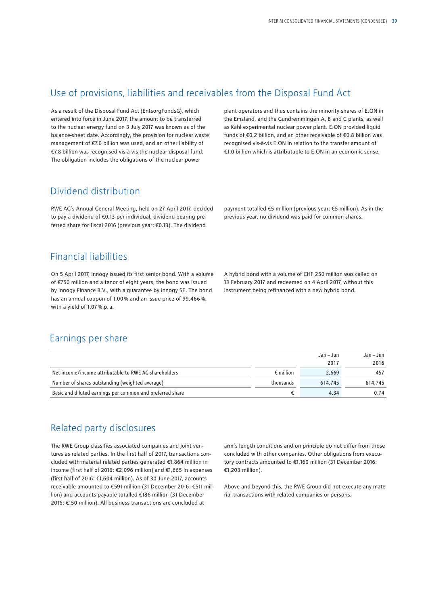### Use of provisions, liabilities and receivables from the Disposal Fund Act

As a result of the Disposal Fund Act (EntsorgFondsG), which entered into force in June 2017, the amount to be transferred to the nuclear energy fund on 3 July 2017 was known as of the balance-sheet date. Accordingly, the provision for nuclear waste management of €7.0 billion was used, and an other liability of €7.8 billion was recognised vis-à-vis the nuclear disposal fund. The obligation includes the obligations of the nuclear power

plant operators and thus contains the minority shares of E.ON in the Emsland, and the Gundremmingen A, B and C plants, as well as Kahl experimental nuclear power plant. E.ON provided liquid funds of €0.2 billion, and an other receivable of €0.8 billion was recognised vis-à-vis E.ON in relation to the transfer amount of €1.0 billion which is attributable to E.ON in an economic sense.

## Dividend distribution

RWE AG's Annual General Meeting, held on 27 April 2017, decided to pay a dividend of €0.13 per individual, dividend-bearing preferred share for fiscal 2016 (previous year: €0.13). The dividend

payment totalled €5 million (previous year: €5 million). As in the previous year, no dividend was paid for common shares.

## Financial liabilities

On 5 April 2017, innogy issued its first senior bond. With a volume of €750 million and a tenor of eight years, the bond was issued by innogy Finance B.V., with a guarantee by innogy SE. The bond has an annual coupon of 1.00% and an issue price of 99.466%, with a yield of 1.07 % p.a.

A hybrid bond with a volume of CHF 250 million was called on 13 February 2017 and redeemed on 4 April 2017, without this instrument being refinanced with a new hybrid bond.

## Earnings per share

|                                                           |                    | Jan – Jun | Jan – Jun |
|-----------------------------------------------------------|--------------------|-----------|-----------|
|                                                           |                    | 2017      | 2016      |
| Net income/income attributable to RWE AG shareholders     | $\epsilon$ million | 2.669     | 457       |
| Number of shares outstanding (weighted average)           | thousands          | 614.745   | 614.745   |
| Basic and diluted earnings per common and preferred share |                    | 4.34      | 0.74      |

## Related party disclosures

The RWE Group classifies associated companies and joint ventures as related parties. In the first half of 2017, transactions concluded with material related parties generated €1,864 million in income (first half of 2016: €2,096 million) and €1,665 in expenses (first half of 2016: €1,604 million). As of 30 June 2017, accounts receivable amounted to €591 million (31 December 2016: €511 million) and accounts payable totalled €186 million (31 December 2016: €150 million). All business transactions are concluded at

arm's length conditions and on principle do not differ from those concluded with other companies. Other obligations from executory contracts amounted to €1,160 million (31 December 2016: €1,203 million).

Above and beyond this, the RWE Group did not execute any material transactions with related companies or persons.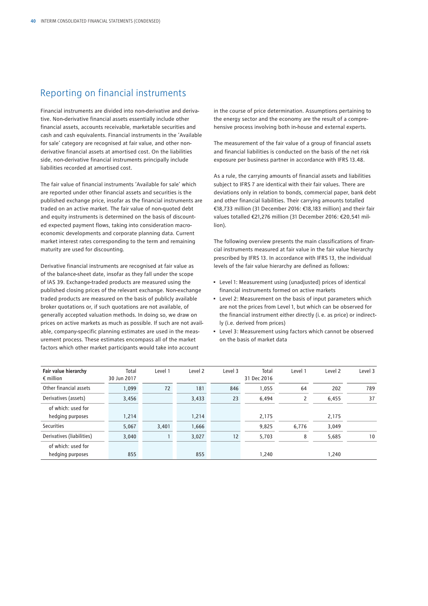## Reporting on financial instruments

Financial instruments are divided into non-derivative and derivative. Non-derivative financial assets essentially include other financial assets, accounts receivable, marketable securities and cash and cash equivalents. Financial instruments in the 'Available for sale' category are recognised at fair value, and other nonderivative financial assets at amortised cost. On the liabilities side, non-derivative financial instruments principally include liabilities recorded at amortised cost.

The fair value of financial instruments 'Available for sale' which are reported under other financial assets and securities is the published exchange price, insofar as the financial instruments are traded on an active market. The fair value of non-quoted debt and equity instruments is determined on the basis of discounted expected payment flows, taking into consideration macroeconomic developments and corporate planning data. Current market interest rates corresponding to the term and remaining maturity are used for discounting.

Derivative financial instruments are recognised at fair value as of the balance-sheet date, insofar as they fall under the scope of IAS 39. Exchange-traded products are measured using the published closing prices of the relevant exchange. Non-exchange traded products are measured on the basis of publicly available broker quotations or, if such quotations are not available, of generally accepted valuation methods. In doing so, we draw on prices on active markets as much as possible. If such are not available, company-specific planning estimates are used in the measurement process. These estimates encompass all of the market factors which other market participants would take into account

in the course of price determination. Assumptions pertaining to the energy sector and the economy are the result of a comprehensive process involving both in-house and external experts.

The measurement of the fair value of a group of financial assets and financial liabilities is conducted on the basis of the net risk exposure per business partner in accordance with IFRS 13.48.

As a rule, the carrying amounts of financial assets and liabilities subject to IFRS 7 are identical with their fair values. There are deviations only in relation to bonds, commercial paper, bank debt and other financial liabilities. Their carrying amounts totalled €18,733 million (31 December 2016: €18,183 million) and their fair values totalled €21,276 million (31 December 2016: €20,541 million).

The following overview presents the main classifications of financial instruments measured at fair value in the fair value hierarchy prescribed by IFRS 13. In accordance with IFRS 13, the individual levels of the fair value hierarchy are defined as follows:

- Level 1: Measurement using (unadjusted) prices of identical financial instruments formed on active markets
- Level 2: Measurement on the basis of input parameters which are not the prices from Level 1, but which can be observed for the financial instrument either directly (i.e. as price) or indirectly (i.e. derived from prices)
- Level 3: Measurement using factors which cannot be observed on the basis of market data

| Fair value hierarchy<br>$\epsilon$ million | Total<br>30 Jun 2017 | Level 1 | Level <sub>2</sub> | Level 3 | Total<br>31 Dec 2016 | Level 1        | Level 2 | Level 3 |
|--------------------------------------------|----------------------|---------|--------------------|---------|----------------------|----------------|---------|---------|
| Other financial assets                     | 1,099                | 72      | 181                | 846     | 1,055                | 64             | 202     | 789     |
| Derivatives (assets)                       | 3,456                |         | 3,433              | 23      | 6,494                | $\overline{2}$ | 6,455   | 37      |
| of which: used for<br>hedging purposes     | 1,214                |         | 1,214              |         | 2,175                |                | 2,175   |         |
| <b>Securities</b>                          | 5,067                | 3,401   | 1,666              |         | 9,825                | 6,776          | 3,049   |         |
| Derivatives (liabilities)                  | 3,040                |         | 3,027              | 12      | 5,703                | 8              | 5,685   | 10      |
| of which: used for<br>hedging purposes     | 855                  |         | 855                |         | 1,240                |                | 1,240   |         |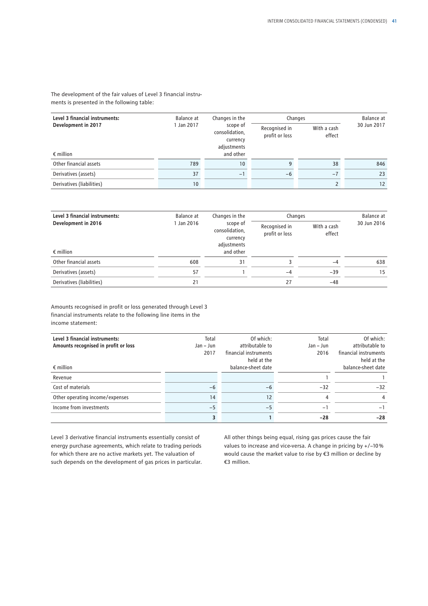The development of the fair values of Level 3 financial instruments is presented in the following table:

| Level 3 financial instruments: | Balance at      | Changes in the                                        | Changes                         | Balance at            |             |
|--------------------------------|-----------------|-------------------------------------------------------|---------------------------------|-----------------------|-------------|
| Development in 2017            | 1 Jan 2017      | scope of<br>consolidation,<br>currency<br>adjustments | Recognised in<br>profit or loss | With a cash<br>effect | 30 Jun 2017 |
| $\epsilon$ million             |                 | and other                                             |                                 |                       |             |
| Other financial assets         | 789             | 10                                                    | 9                               | 38                    | 846         |
| Derivatives (assets)           | 37              | $-1$                                                  | -6                              | $-7$                  | 23          |
| Derivatives (liabilities)      | 10 <sup>°</sup> |                                                       |                                 |                       | 12          |

| Level 3 financial instruments: | Balance at | Changes in the                                        | Changes                         |                       | Balance at  |
|--------------------------------|------------|-------------------------------------------------------|---------------------------------|-----------------------|-------------|
| Development in 2016            | 1 Jan 2016 | scope of<br>consolidation,<br>currency<br>adjustments | Recognised in<br>profit or loss | With a cash<br>effect | 30 Jun 2016 |
| $\epsilon$ million             |            | and other                                             |                                 |                       |             |
| Other financial assets         | 608        | 31                                                    |                                 | -4                    | 638         |
| Derivatives (assets)           | 57         |                                                       | $-4$                            | $-39$                 | 15          |
| Derivatives (liabilities)      | 21         |                                                       | 27                              | $-48$                 |             |

Amounts recognised in profit or loss generated through Level 3 financial instruments relate to the following line items in the income statement:

| Level 3 financial instruments:       | Total       | Of which:                            | Total       | Of which:                            |
|--------------------------------------|-------------|--------------------------------------|-------------|--------------------------------------|
| Amounts recognised in profit or loss | $Jan - Jun$ | attributable to                      | $Jan - Jun$ | attributable to                      |
|                                      | 2017        | financial instruments<br>held at the | 2016        | financial instruments<br>held at the |
| $\epsilon$ million                   |             | balance-sheet date                   |             | balance-sheet date                   |
| Revenue                              |             |                                      |             |                                      |
| Cost of materials                    | $-6$        | $-6$                                 | $-32$       | $-32$                                |
| Other operating income/expenses      | 14          | 12                                   | 4           | 4                                    |
| Income from investments              | $-5$        | $-5$                                 | $-1$        | $-1$                                 |
|                                      |             |                                      | $-28$       | $-28$                                |

Level 3 derivative financial instruments essentially consist of energy purchase agreements, which relate to trading periods for which there are no active markets yet. The valuation of such depends on the development of gas prices in particular. All other things being equal, rising gas prices cause the fair values to increase and vice-versa. A change in pricing by +/−10 % would cause the market value to rise by €3 million or decline by €3 million.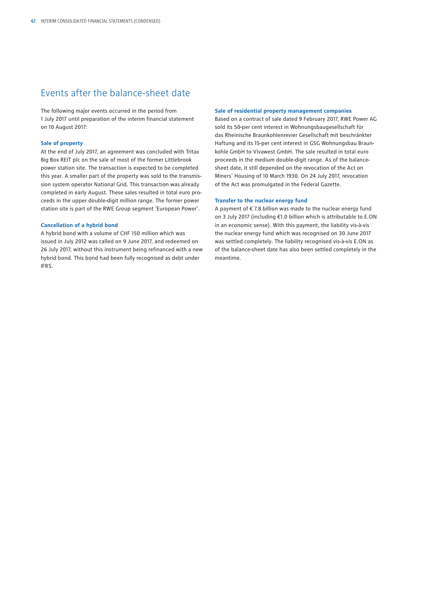## Events after the balance-sheet date

The following major events occurred in the period from 1 July 2017 until preparation of the interim financial statement on 10 August 2017:

#### **Sale of property**

At the end of July 2017, an agreement was concluded with Tritax Big Box REIT plc on the sale of most of the former Littlebrook power station site. The transaction is expected to be completed this year. A smaller part of the property was sold to the transmission system operator National Grid. This transaction was already completed in early August. These sales resulted in total euro proceeds in the upper double-digit million range. The former power station site is part of the RWE Group segment 'European Power'.

#### **Cancellation of a hybrid bond**

A hybrid bond with a volume of CHF 150 million which was issued in July 2012 was called on 9 June 2017, and redeemed on 26 July 2017, without this instrument being refinanced with a new hybrid bond. This bond had been fully recognised as debt under IFRS.

#### **Sale of residential property management companies**

Based on a contract of sale dated 9 February 2017, RWE Power AG sold its 50-per cent interest in Wohnungsbaugesellschaft für das Rheinische Braunkohlenrevier Gesellschaft mit beschränkter Haftung and its 15-per cent interest in GSG Wohnungsbau Braunkohle GmbH to Vivawest GmbH. The sale resulted in total euro proceeds in the medium double-digit range. As of the balancesheet date, it still depended on the revocation of the Act on Miners' Housing of 10 March 1930. On 24 July 2017, revocation of the Act was promulgated in the Federal Gazette.

#### **Transfer to the nuclear energy fund**

A payment of  $\epsilon$  7.8 billion was made to the nuclear energy fund on 3 July 2017 (including €1.0 billion which is attributable to E.ON in an economic sense). With this payment, the liability vis-à-vis the nuclear energy fund which was recognised on 30 June 2017 was settled completely. The liability recognised vis-à-vis E.ON as of the balance-sheet date has also been settled completely in the meantime.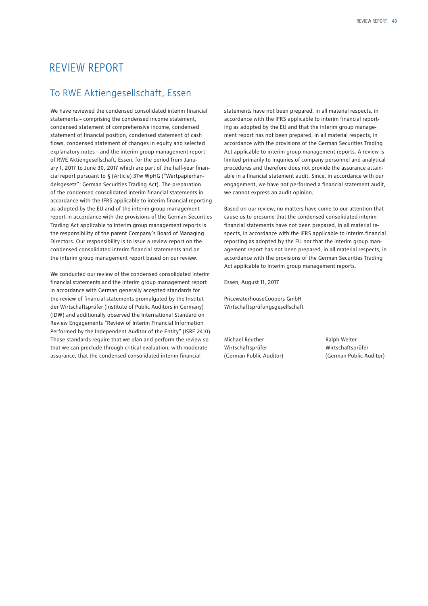## <span id="page-44-0"></span>REVIEW REPORT

## To RWE Aktiengesellschaft, Essen

We have reviewed the condensed consolidated interim financial statements – comprising the condensed income statement, condensed statement of comprehensive income, condensed statement of financial position, condensed statement of cash flows, condensed statement of changes in equity and selected explanatory notes – and the interim group management report of RWE Aktiengesellschaft, Essen, for the period from January 1, 2017 to June 30, 2017 which are part of the half-year financial report pursuant to § (Article) 37w WpHG ("Wertpapierhandelsgesetz": German Securities Trading Act). The preparation of the condensed consolidated interim financial statements in accordance with the IFRS applicable to interim financial reporting as adopted by the EU and of the interim group management report in accordance with the provisions of the German Securities Trading Act applicable to interim group management reports is the responsibility of the parent Company's Board of Managing Directors. Our responsibility is to issue a review report on the condensed consolidated interim financial statements and on the interim group management report based on our review.

We conducted our review of the condensed consolidated interim financial statements and the interim group management report in accordance with German generally accepted standards for the review of financial statements promulgated by the Institut der Wirtschaftsprüfer (Institute of Public Auditors in Germany) (IDW) and additionally observed the International Standard on Review Engagements "Review of Interim Financial Information Performed by the Independent Auditor of the Entity" (ISRE 2410). Those standards require that we plan and perform the review so that we can preclude through critical evaluation, with moderate assurance, that the condensed consolidated interim financial

statements have not been prepared, in all material respects, in accordance with the IFRS applicable to interim financial reporting as adopted by the EU and that the interim group management report has not been prepared, in all material respects, in accordance with the provisions of the German Securities Trading Act applicable to interim group management reports. A review is limited primarily to inquiries of company personnel and analytical procedures and therefore does not provide the assurance attainable in a financial statement audit. Since, in accordance with our engagement, we have not performed a financial statement audit, we cannot express an audit opinion.

Based on our review, no matters have come to our attention that cause us to presume that the condensed consolidated interim financial statements have not been prepared, in all material respects, in accordance with the IFRS applicable to interim financial reporting as adopted by the EU nor that the interim group management report has not been prepared, in all material respects, in accordance with the provisions of the German Securities Trading Act applicable to interim group management reports.

Essen, August 11, 2017

PricewaterhouseCoopers GmbH Wirtschaftsprüfungsgesellschaft

Michael Reuther **Ralph Welter** Ralph Welter Wirtschaftsprüfer Wirtschaftsprüfer (German Public Auditor) (German Public Auditor)